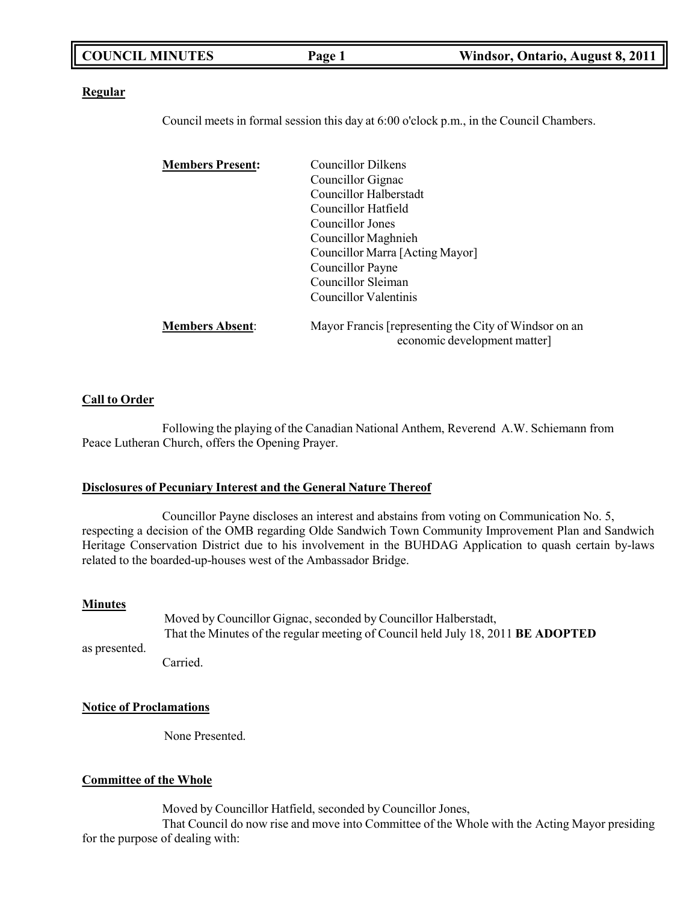| <b>COUNCIL MINUTES</b> | Page 1 | Windsor, Ontario, August 8, 2011 |
|------------------------|--------|----------------------------------|
|                        |        |                                  |

#### **Regular**

Council meets in formal session this day at 6:00 o'clock p.m., in the Council Chambers.

| <b>Members Present:</b> | <b>Councillor Dilkens</b>                                                             |
|-------------------------|---------------------------------------------------------------------------------------|
|                         | Councillor Gignac                                                                     |
|                         | Councillor Halberstadt                                                                |
|                         | Councillor Hatfield                                                                   |
|                         | Councillor Jones                                                                      |
|                         | Councillor Maghnieh                                                                   |
|                         | Councillor Marra [Acting Mayor]                                                       |
|                         | Councillor Payne                                                                      |
|                         | Councillor Sleiman                                                                    |
|                         | Councillor Valentinis                                                                 |
| <b>Members Absent:</b>  | Mayor Francis [representing the City of Windsor on an<br>economic development matter] |

#### **Call to Order**

Following the playing of the Canadian National Anthem, Reverend A.W. Schiemann from Peace Lutheran Church, offers the Opening Prayer.

#### **Disclosures of Pecuniary Interest and the General Nature Thereof**

Councillor Payne discloses an interest and abstains from voting on Communication No. 5, respecting a decision of the OMB regarding Olde Sandwich Town Community Improvement Plan and Sandwich Heritage Conservation District due to his involvement in the BUHDAG Application to quash certain by-laws related to the boarded-up-houses west of the Ambassador Bridge.

#### **Minutes**

as presented. Moved by Councillor Gignac, seconded by Councillor Halberstadt, That the Minutes of the regular meeting of Council held July 18, 2011 **BE ADOPTED**

Carried.

#### **Notice of Proclamations**

None Presented.

#### **Committee of the Whole**

Moved by Councillor Hatfield, seconded by Councillor Jones,

That Council do now rise and move into Committee of the Whole with the Acting Mayor presiding for the purpose of dealing with: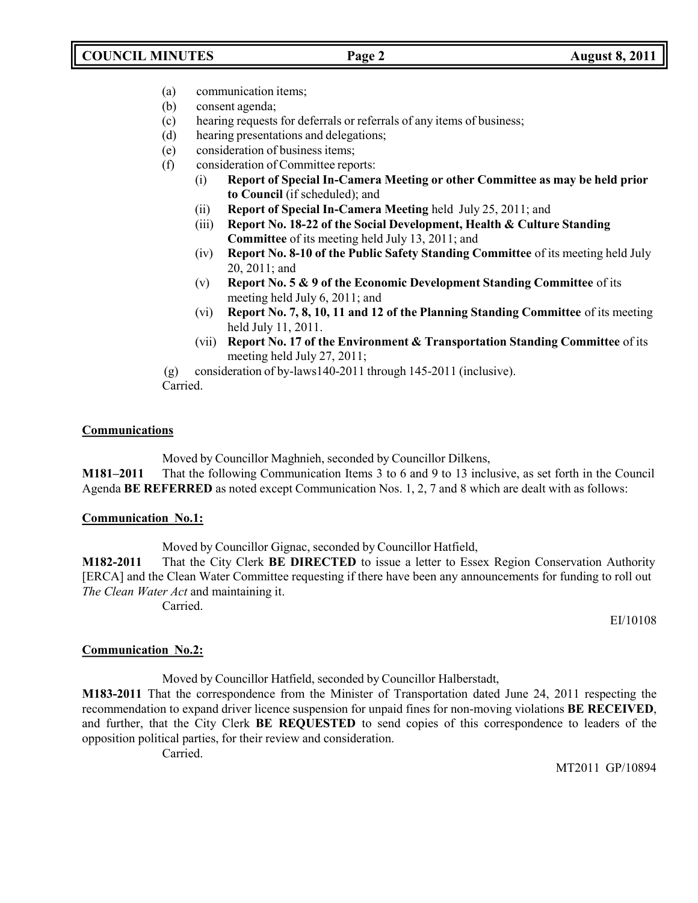- (a) communication items;
- (b) consent agenda;
- (c) hearing requests for deferrals or referrals of any items of business;
- (d) hearing presentations and delegations;
- (e) consideration of business items;
- (f) consideration of Committee reports:
	- (i) **Report of Special In-Camera Meeting or other Committee as may be held prior to Council** (if scheduled); and
	- (ii) **Report of Special In-Camera Meeting** held July 25, 2011; and
	- (iii) **Report No. 18-22 of the Social Development, Health & Culture Standing Committee** of its meeting held July 13, 2011; and
	- (iv) **Report No. 8-10 of the Public Safety Standing Committee** of its meeting held July 20, 2011; and
	- (v) **Report No. 5 & 9 of the Economic Development Standing Committee** of its meeting held July 6, 2011; and
	- (vi) **Report No. 7, 8, 10, 11 and 12 of the Planning Standing Committee** of its meeting held July 11, 2011.
	- (vii) **Report No. 17 of the Environment & Transportation Standing Committee** of its meeting held July 27, 2011;
- (g) consideration of by-laws140-2011 through 145-2011 (inclusive).
- Carried.

# **Communications**

Moved by Councillor Maghnieh, seconded by Councillor Dilkens,

**M181–2011** That the following Communication Items 3 to 6 and 9 to 13 inclusive, as set forth in the Council Agenda **BE REFERRED** as noted except Communication Nos. 1, 2, 7 and 8 which are dealt with as follows:

## **Communication No.1:**

Moved by Councillor Gignac, seconded by Councillor Hatfield,

**M182-2011** That the City Clerk **BE DIRECTED** to issue a letter to Essex Region Conservation Authority [ERCA] and the Clean Water Committee requesting if there have been any announcements for funding to roll out *The Clean Water Act* and maintaining it.

Carried.

EI/10108

# **Communication No.2:**

Moved by Councillor Hatfield, seconded by Councillor Halberstadt,

**M183-2011** That the correspondence from the Minister of Transportation dated June 24, 2011 respecting the recommendation to expand driver licence suspension for unpaid fines for non-moving violations **BE RECEIVED**, and further, that the City Clerk **BE REQUESTED** to send copies of this correspondence to leaders of the opposition political parties, for their review and consideration.

Carried.

MT2011 GP/10894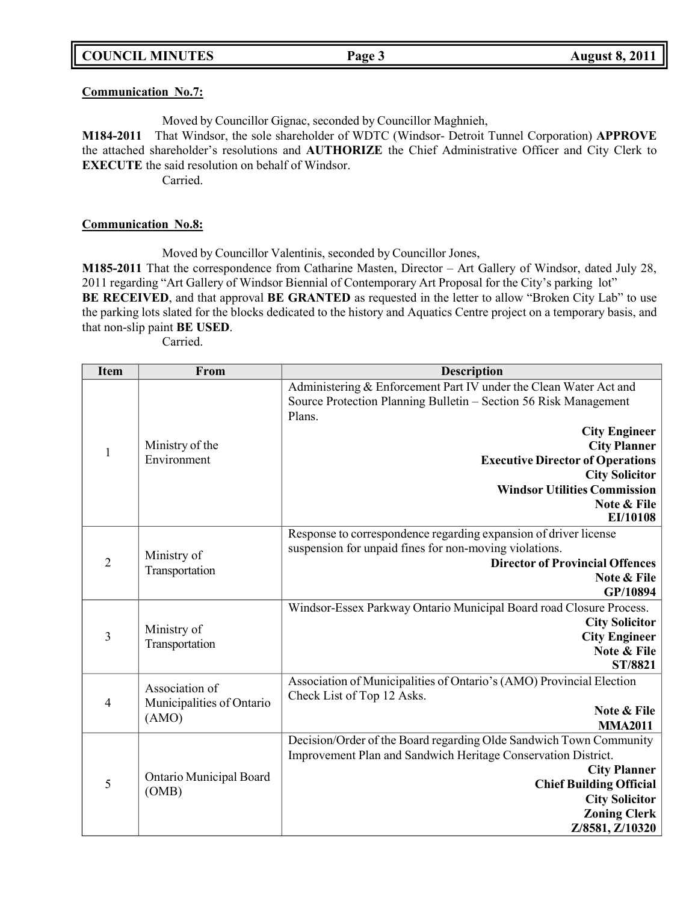### **Communication No.7:**

Moved by Councillor Gignac, seconded by Councillor Maghnieh,

**M184-2011** That Windsor, the sole shareholder of WDTC (Windsor- Detroit Tunnel Corporation) **APPROVE** the attached shareholder's resolutions and **AUTHORIZE** the Chief Administrative Officer and City Clerk to **EXECUTE** the said resolution on behalf of Windsor.

Carried.

### **Communication No.8:**

Moved by Councillor Valentinis, seconded by Councillor Jones,

**M185-2011** That the correspondence from Catharine Masten, Director – Art Gallery of Windsor, dated July 28, 2011 regarding "Art Gallery of Windsor Biennial of Contemporary Art Proposal for the City's parking lot" **BE RECEIVED**, and that approval **BE GRANTED** as requested in the letter to allow "Broken City Lab" to use the parking lots slated for the blocks dedicated to the history and Aquatics Centre project on a temporary basis, and that non-slip paint **BE USED**.

Carried.

| <b>Item</b>    | From                                                 | <b>Description</b>                                                                                                                                                                                                                                              |
|----------------|------------------------------------------------------|-----------------------------------------------------------------------------------------------------------------------------------------------------------------------------------------------------------------------------------------------------------------|
|                |                                                      | Administering & Enforcement Part IV under the Clean Water Act and<br>Source Protection Planning Bulletin - Section 56 Risk Management<br>Plans.                                                                                                                 |
| $\mathbf{1}$   | Ministry of the<br>Environment                       | <b>City Engineer</b><br><b>City Planner</b><br><b>Executive Director of Operations</b><br><b>City Solicitor</b><br><b>Windsor Utilities Commission</b><br>Note & File<br>EI/10108                                                                               |
| $\overline{2}$ | Ministry of<br>Transportation                        | Response to correspondence regarding expansion of driver license<br>suspension for unpaid fines for non-moving violations.<br><b>Director of Provincial Offences</b><br>Note & File<br>GP/10894                                                                 |
| 3              | Ministry of<br>Transportation                        | Windsor-Essex Parkway Ontario Municipal Board road Closure Process.<br><b>City Solicitor</b><br><b>City Engineer</b><br>Note & File<br><b>ST/8821</b>                                                                                                           |
| $\overline{4}$ | Association of<br>Municipalities of Ontario<br>(AMO) | Association of Municipalities of Ontario's (AMO) Provincial Election<br>Check List of Top 12 Asks.<br>Note & File<br><b>MMA2011</b>                                                                                                                             |
| 5              | Ontario Municipal Board<br>(OMB)                     | Decision/Order of the Board regarding Olde Sandwich Town Community<br>Improvement Plan and Sandwich Heritage Conservation District.<br><b>City Planner</b><br><b>Chief Building Official</b><br><b>City Solicitor</b><br><b>Zoning Clerk</b><br>Z/8581, Z/10320 |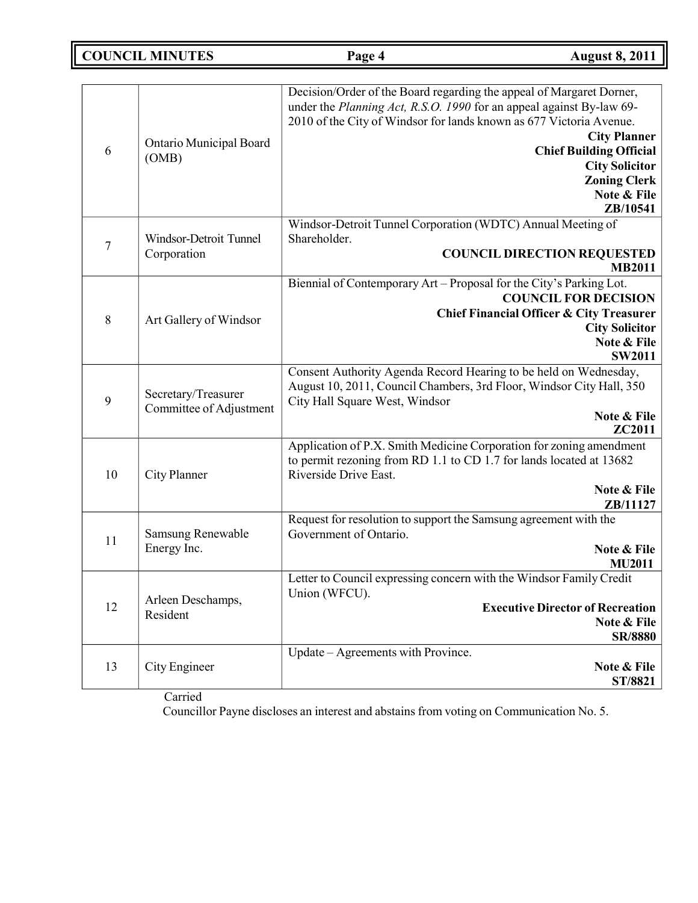**COUNCIL MINUTES Page 4 August 8, 2011**

| 6  | Ontario Municipal Board<br>(OMB)               | Decision/Order of the Board regarding the appeal of Margaret Dorner,<br>under the Planning Act, R.S.O. 1990 for an appeal against By-law 69-<br>2010 of the City of Windsor for lands known as 677 Victoria Avenue.<br><b>City Planner</b><br><b>Chief Building Official</b><br><b>City Solicitor</b><br><b>Zoning Clerk</b><br>Note & File<br>ZB/10541 |
|----|------------------------------------------------|---------------------------------------------------------------------------------------------------------------------------------------------------------------------------------------------------------------------------------------------------------------------------------------------------------------------------------------------------------|
| 7  | Windsor-Detroit Tunnel<br>Corporation          | Windsor-Detroit Tunnel Corporation (WDTC) Annual Meeting of<br>Shareholder.<br><b>COUNCIL DIRECTION REQUESTED</b><br><b>MB2011</b>                                                                                                                                                                                                                      |
| 8  | Art Gallery of Windsor                         | Biennial of Contemporary Art - Proposal for the City's Parking Lot.<br><b>COUNCIL FOR DECISION</b><br><b>Chief Financial Officer &amp; City Treasurer</b><br><b>City Solicitor</b><br>Note & File<br><b>SW2011</b>                                                                                                                                      |
| 9  | Secretary/Treasurer<br>Committee of Adjustment | Consent Authority Agenda Record Hearing to be held on Wednesday,<br>August 10, 2011, Council Chambers, 3rd Floor, Windsor City Hall, 350<br>City Hall Square West, Windsor<br>Note & File<br><b>ZC2011</b>                                                                                                                                              |
| 10 | City Planner                                   | Application of P.X. Smith Medicine Corporation for zoning amendment<br>to permit rezoning from RD 1.1 to CD 1.7 for lands located at 13682<br>Riverside Drive East.<br>Note & File<br>ZB/11127                                                                                                                                                          |
| 11 | Samsung Renewable<br>Energy Inc.               | Request for resolution to support the Samsung agreement with the<br>Government of Ontario.<br>Note & File<br><b>MU2011</b>                                                                                                                                                                                                                              |
| 12 | Arleen Deschamps,<br>Resident                  | Letter to Council expressing concern with the Windsor Family Credit<br>Union (WFCU).<br><b>Executive Director of Recreation</b><br>Note & File<br><b>SR/8880</b>                                                                                                                                                                                        |
| 13 | City Engineer                                  | Update – Agreements with Province.<br>Note & File<br>ST/8821                                                                                                                                                                                                                                                                                            |

Carried

Councillor Payne discloses an interest and abstains from voting on Communication No. 5.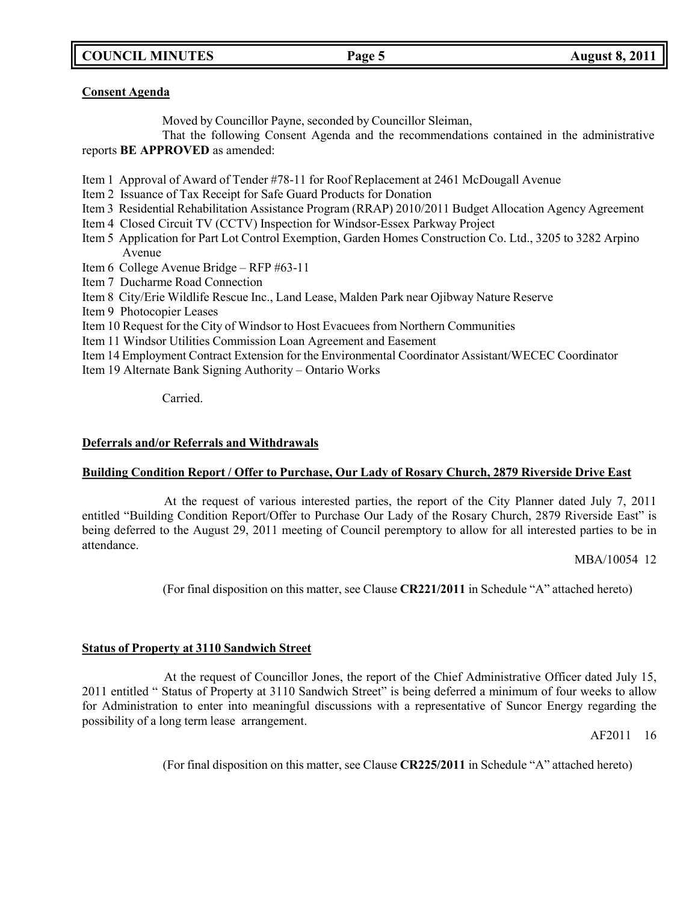**COUNCIL MINUTES Page 5 August 8, 2011**

## **Consent Agenda**

Moved by Councillor Payne, seconded by Councillor Sleiman,

That the following Consent Agenda and the recommendations contained in the administrative reports **BE APPROVED** as amended:

- Item 1 Approval of Award of Tender #78-11 for Roof Replacement at 2461 McDougall Avenue
- Item 2 Issuance of Tax Receipt for Safe Guard Products for Donation
- Item 3 Residential Rehabilitation Assistance Program (RRAP) 2010/2011 Budget Allocation Agency Agreement
- Item 4 Closed Circuit TV (CCTV) Inspection for Windsor-Essex Parkway Project
- Item 5 Application for Part Lot Control Exemption, Garden Homes Construction Co. Ltd., 3205 to 3282 Arpino Avenue
- Item 6 College Avenue Bridge RFP #63-11
- Item 7 Ducharme Road Connection
- Item 8 City/Erie Wildlife Rescue Inc., Land Lease, Malden Park near Ojibway Nature Reserve
- Item 9 Photocopier Leases
- Item 10 Request for the City of Windsor to Host Evacuees from Northern Communities
- Item 11 Windsor Utilities Commission Loan Agreement and Easement
- Item 14 Employment Contract Extension for the Environmental Coordinator Assistant/WECEC Coordinator
- Item 19 Alternate Bank Signing Authority Ontario Works

Carried.

## **Deferrals and/or Referrals and Withdrawals**

## **Building Condition Report / Offer to Purchase, Our Lady of Rosary Church, 2879 Riverside Drive East**

At the request of various interested parties, the report of the City Planner dated July 7, 2011 entitled "Building Condition Report/Offer to Purchase Our Lady of the Rosary Church, 2879 Riverside East" is being deferred to the August 29, 2011 meeting of Council peremptory to allow for all interested parties to be in attendance.

MBA/10054 12

(For final disposition on this matter, see Clause **CR221/2011** in Schedule "A" attached hereto)

# **Status of Property at 3110 Sandwich Street**

At the request of Councillor Jones, the report of the Chief Administrative Officer dated July 15, 2011 entitled " Status of Property at 3110 Sandwich Street" is being deferred a minimum of four weeks to allow for Administration to enter into meaningful discussions with a representative of Suncor Energy regarding the possibility of a long term lease arrangement.

AF2011 16

(For final disposition on this matter, see Clause **CR225/2011** in Schedule "A" attached hereto)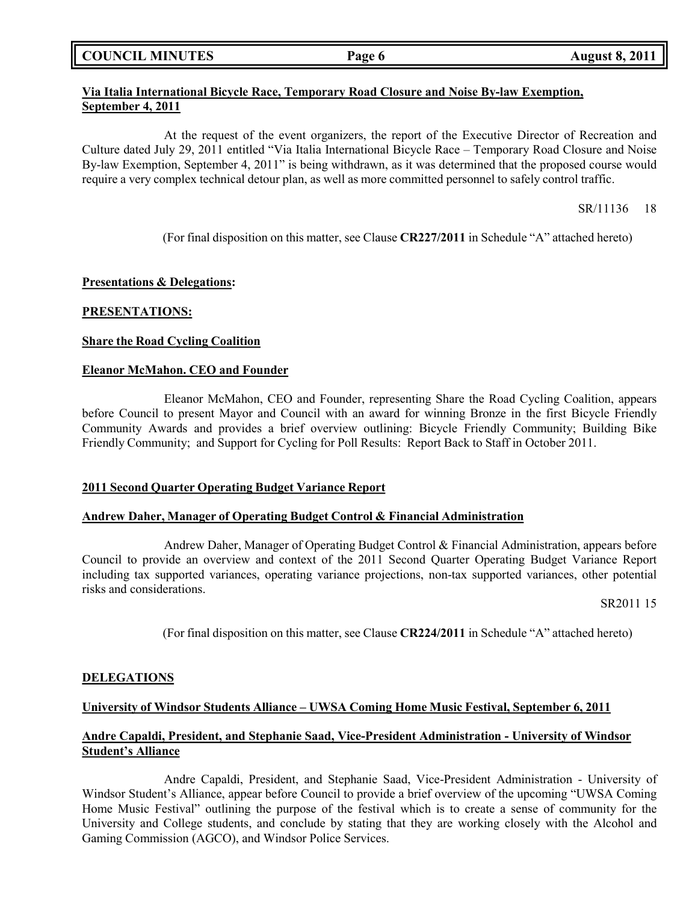|  | <b>COUNCIL MINUTES</b> |
|--|------------------------|
|--|------------------------|

# **Via Italia International Bicycle Race, Temporary Road Closure and Noise By-law Exemption, September 4, 2011**

At the request of the event organizers, the report of the Executive Director of Recreation and Culture dated July 29, 2011 entitled "Via Italia International Bicycle Race – Temporary Road Closure and Noise By-law Exemption, September 4, 2011" is being withdrawn, as it was determined that the proposed course would require a very complex technical detour plan, as well as more committed personnel to safely control traffic.

SR/11136 18

(For final disposition on this matter, see Clause **CR227/2011** in Schedule "A" attached hereto)

## **Presentations & Delegations:**

## **PRESENTATIONS:**

# **Share the Road Cycling Coalition**

## **Eleanor McMahon. CEO and Founder**

Eleanor McMahon, CEO and Founder, representing Share the Road Cycling Coalition, appears before Council to present Mayor and Council with an award for winning Bronze in the first Bicycle Friendly Community Awards and provides a brief overview outlining: Bicycle Friendly Community; Building Bike Friendly Community; and Support for Cycling for Poll Results: Report Back to Staff in October 2011.

## **2011 Second Quarter Operating Budget Variance Report**

## **Andrew Daher, Manager of Operating Budget Control & Financial Administration**

Andrew Daher, Manager of Operating Budget Control & Financial Administration, appears before Council to provide an overview and context of the 2011 Second Quarter Operating Budget Variance Report including tax supported variances, operating variance projections, non-tax supported variances, other potential risks and considerations.

SR2011 15

(For final disposition on this matter, see Clause **CR224/2011** in Schedule "A" attached hereto)

## **DELEGATIONS**

## **University of Windsor Students Alliance – UWSA Coming Home Music Festival, September 6, 2011**

## **Andre Capaldi, President, and Stephanie Saad, Vice-President Administration - University of Windsor Student's Alliance**

Andre Capaldi, President, and Stephanie Saad, Vice-President Administration - University of Windsor Student's Alliance, appear before Council to provide a brief overview of the upcoming "UWSA Coming Home Music Festival" outlining the purpose of the festival which is to create a sense of community for the University and College students, and conclude by stating that they are working closely with the Alcohol and Gaming Commission (AGCO), and Windsor Police Services.

**COUNCIL MINUTES Page 6 August 8, 2011**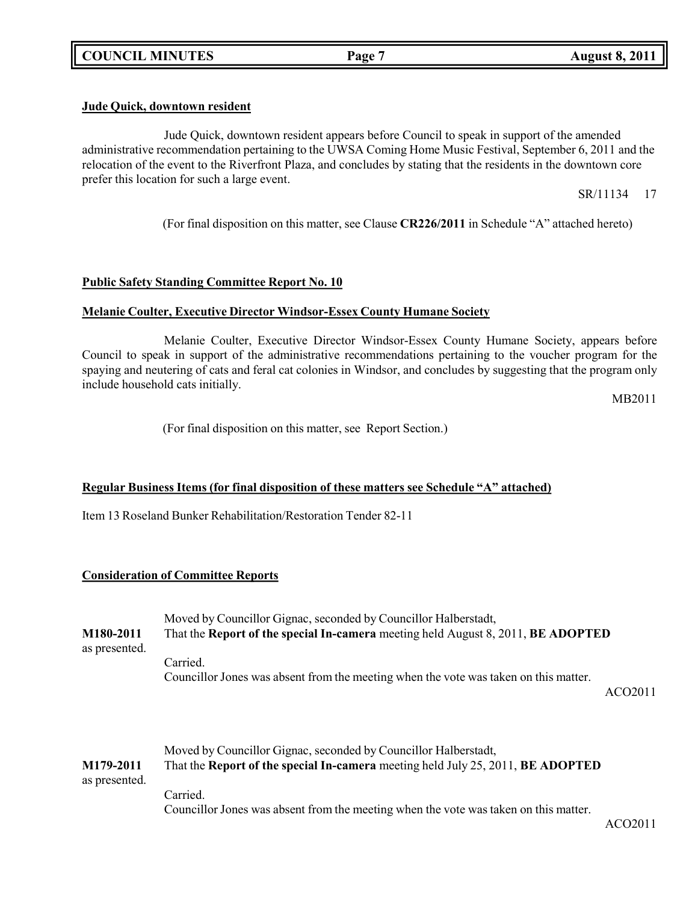# **Jude Quick, downtown resident**

Jude Quick, downtown resident appears before Council to speak in support of the amended administrative recommendation pertaining to the UWSA Coming Home Music Festival, September 6, 2011 and the relocation of the event to the Riverfront Plaza, and concludes by stating that the residents in the downtown core prefer this location for such a large event.

SR/11134 17

(For final disposition on this matter, see Clause **CR226/2011** in Schedule "A" attached hereto)

# **Public Safety Standing Committee Report No. 10**

# **Melanie Coulter, Executive Director Windsor-Essex County Humane Society**

Melanie Coulter, Executive Director Windsor-Essex County Humane Society, appears before Council to speak in support of the administrative recommendations pertaining to the voucher program for the spaying and neutering of cats and feral cat colonies in Windsor, and concludes by suggesting that the program only include household cats initially.

MB2011

(For final disposition on this matter, see Report Section.)

## **Regular Business Items (for final disposition of these matters see Schedule "A" attached)**

Item 13 Roseland Bunker Rehabilitation/Restoration Tender 82-11

## **Consideration of Committee Reports**

| M180-2011<br>as presented. | Moved by Councillor Gignac, seconded by Councillor Halberstadt,<br>That the Report of the special In-camera meeting held August 8, 2011, BE ADOPTED |         |  |
|----------------------------|-----------------------------------------------------------------------------------------------------------------------------------------------------|---------|--|
|                            | Carried.<br>Councillor Jones was absent from the meeting when the vote was taken on this matter.                                                    | ACO2011 |  |
| M179-2011<br>as presented. | Moved by Councillor Gignac, seconded by Councillor Halberstadt,<br>That the Report of the special In-camera meeting held July 25, 2011, BE ADOPTED  |         |  |

Carried.

Councillor Jones was absent from the meeting when the vote was taken on this matter.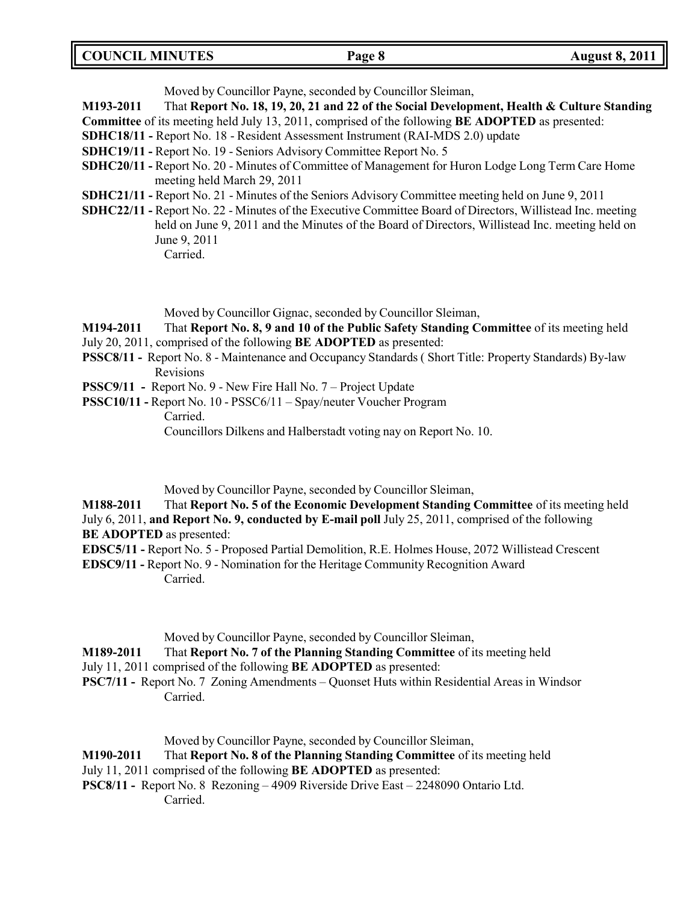Moved by Councillor Payne, seconded by Councillor Sleiman,

**M193-2011** That **Report No. 18, 19, 20, 21 and 22 of the Social Development, Health & Culture Standing**

**Committee** of its meeting held July 13, 2011, comprised of the following **BE ADOPTED** as presented:

- **SDHC18/11 -** Report No. 18 Resident Assessment Instrument (RAI-MDS 2.0) update
- **SDHC19/11 -** Report No. 19 Seniors Advisory Committee Report No. 5
- **SDHC20/11 -** Report No. 20 Minutes of Committee of Management for Huron Lodge Long Term Care Home meeting held March 29, 2011
- **SDHC21/11 -** Report No. 21 Minutes of the Seniors Advisory Committee meeting held on June 9, 2011
- **SDHC22/11 -** Report No. 22 Minutes of the Executive Committee Board of Directors, Willistead Inc. meeting held on June 9, 2011 and the Minutes of the Board of Directors, Willistead Inc. meeting held on June 9, 2011 Carried.

Moved by Councillor Gignac, seconded by Councillor Sleiman,

**M194-2011** That **Report No. 8, 9 and 10 of the Public Safety Standing Committee** of its meeting held July 20, 2011, comprised of the following **BE ADOPTED** as presented:

- **PSSC8/11 -** Report No. 8 Maintenance and Occupancy Standards ( Short Title: Property Standards) By-law Revisions
- **PSSC9/11 -** Report No. 9 New Fire Hall No. 7 Project Update
- **PSSC10/11 -** Report No. 10 PSSC6/11 Spay/neuter Voucher Program Carried. Councillors Dilkens and Halberstadt voting nay on Report No. 10.

Moved by Councillor Payne, seconded by Councillor Sleiman,

**M188-2011** That **Report No. 5 of the Economic Development Standing Committee** of its meeting held July 6, 2011, **and Report No. 9, conducted by E-mail poll** July 25, 2011, comprised of the following **BE ADOPTED** as presented:

**EDSC5/11 -** Report No. 5 - Proposed Partial Demolition, R.E. Holmes House, 2072 Willistead Crescent

**EDSC9/11 -** Report No. 9 - Nomination for the Heritage Community Recognition Award Carried.

Moved by Councillor Payne, seconded by Councillor Sleiman,

**M189-2011** That **Report No. 7 of the Planning Standing Committee** of its meeting held

- July 11, 2011 comprised of the following **BE ADOPTED** as presented:
- **PSC7/11 -** Report No. 7 Zoning Amendments Quonset Huts within Residential Areas in Windsor Carried.

Moved by Councillor Payne, seconded by Councillor Sleiman,

## **M190-2011** That **Report No. 8 of the Planning Standing Committee** of its meeting held

- July 11, 2011 comprised of the following **BE ADOPTED** as presented:
- **PSC8/11 -** Report No. 8 Rezoning 4909 Riverside Drive East 2248090 Ontario Ltd. Carried.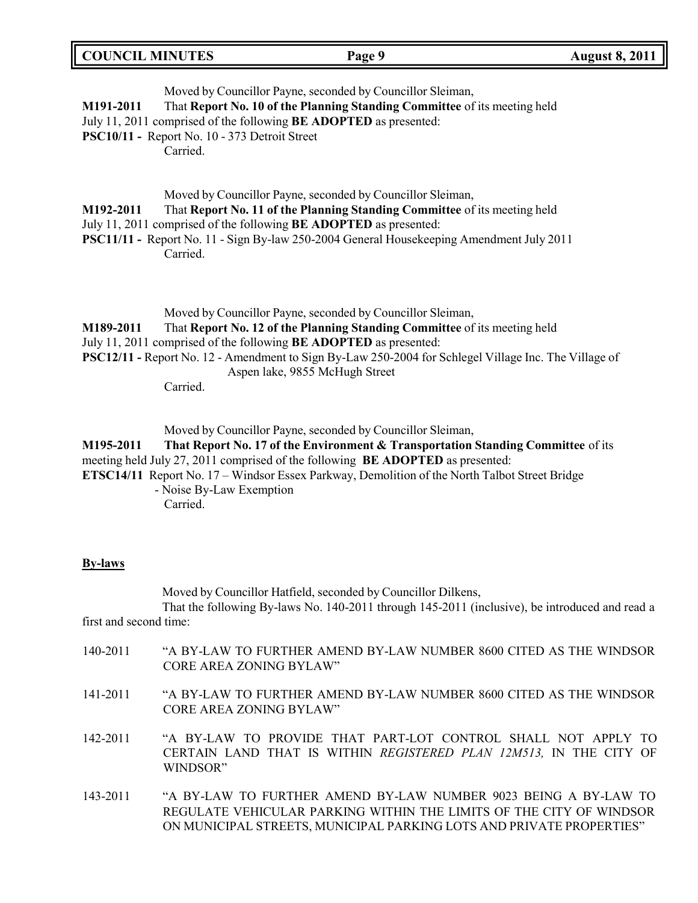| <b>COUNCIL MINUTES</b><br><b>August 8, 2011</b><br>Page 9 |  |
|-----------------------------------------------------------|--|
|-----------------------------------------------------------|--|

| M191-2011 | Moved by Councillor Payne, seconded by Councillor Sleiman,<br>That Report No. 10 of the Planning Standing Committee of its meeting held<br>July 11, 2011 comprised of the following <b>BE ADOPTED</b> as presented:<br>PSC10/11 - Report No. 10 - 373 Detroit Street<br>Carried.                                                                                                  |
|-----------|-----------------------------------------------------------------------------------------------------------------------------------------------------------------------------------------------------------------------------------------------------------------------------------------------------------------------------------------------------------------------------------|
| M192-2011 | Moved by Councillor Payne, seconded by Councillor Sleiman,<br>That Report No. 11 of the Planning Standing Committee of its meeting held<br>July 11, 2011 comprised of the following <b>BE ADOPTED</b> as presented:<br><b>PSC11/11 -</b> Report No. 11 - Sign By-law 250-2004 General Housekeeping Amendment July 2011<br>Carried.                                                |
| M189-2011 | Moved by Councillor Payne, seconded by Councillor Sleiman,<br>That Report No. 12 of the Planning Standing Committee of its meeting held<br>July 11, 2011 comprised of the following <b>BE ADOPTED</b> as presented:<br><b>PSC12/11 - Report No. 12 - Amendment to Sign By-Law 250-2004 for Schlegel Village Inc. The Village of</b><br>Aspen lake, 9855 McHugh Street<br>Carried. |

Moved by Councillor Payne, seconded by Councillor Sleiman,

**M195-2011 That Report No. 17 of the Environment & Transportation Standing Committee** of its meeting held July 27, 2011 comprised of the following **BE ADOPTED** as presented: **ETSC14/11** Report No. 17 – Windsor Essex Parkway, Demolition of the North Talbot Street Bridge

- Noise By-Law Exemption Carried.

### **By-laws**

Moved by Councillor Hatfield, seconded by Councillor Dilkens,

That the following By-laws No. 140-2011 through 145-2011 (inclusive), be introduced and read a first and second time:

| 140-2011 | "A BY-LAW TO FURTHER AMEND BY-LAW NUMBER 8600 CITED AS THE WINDSOR<br>CORE AREA ZONING BYLAW"                                                                                                                  |
|----------|----------------------------------------------------------------------------------------------------------------------------------------------------------------------------------------------------------------|
| 141-2011 | "A BY-LAW TO FURTHER AMEND BY-LAW NUMBER 8600 CITED AS THE WINDSOR<br>CORE AREA ZONING BYLAW"                                                                                                                  |
| 142-2011 | "A BY-LAW TO PROVIDE THAT PART-LOT CONTROL SHALL NOT APPLY TO<br>CERTAIN LAND THAT IS WITHIN REGISTERED PLAN 12M513, IN THE CITY OF<br>WINDSOR"                                                                |
| 143-2011 | "A BY-LAW TO FURTHER AMEND BY-LAW NUMBER 9023 BEING A BY-LAW TO<br>REGULATE VEHICULAR PARKING WITHIN THE LIMITS OF THE CITY OF WINDSOR<br>ON MUNICIPAL STREETS. MUNICIPAL PARKING LOTS AND PRIVATE PROPERTIES" |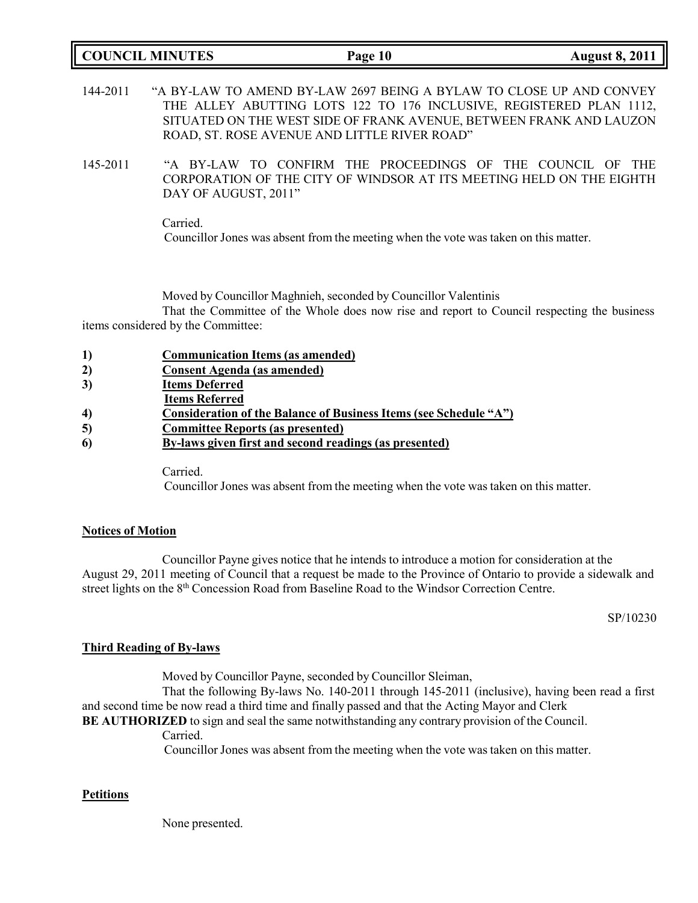# **COUNCIL MINUTES Page 10 August 8, 2011**

- 144-2011 "A BY-LAW TO AMEND BY-LAW 2697 BEING A BYLAW TO CLOSE UP AND CONVEY THE ALLEY ABUTTING LOTS 122 TO 176 INCLUSIVE, REGISTERED PLAN 1112, SITUATED ON THE WEST SIDE OF FRANK AVENUE, BETWEEN FRANK AND LAUZON ROAD, ST. ROSE AVENUE AND LITTLE RIVER ROAD"
- 145-2011 "A BY-LAW TO CONFIRM THE PROCEEDINGS OF THE COUNCIL OF THE CORPORATION OF THE CITY OF WINDSOR AT ITS MEETING HELD ON THE EIGHTH DAY OF AUGUST, 2011"

Carried. Councillor Jones was absent from the meeting when the vote was taken on this matter.

Moved by Councillor Maghnieh, seconded by Councillor Valentinis

That the Committee of the Whole does now rise and report to Council respecting the business items considered by the Committee:

| <b>Communication Items (as amended)</b>                           |
|-------------------------------------------------------------------|
| <b>Consent Agenda</b> (as amended)                                |
| <b>Items Deferred</b>                                             |
| <b>Items Referred</b>                                             |
| Consideration of the Balance of Business Items (see Schedule "A") |
| <b>Committee Reports (as presented)</b>                           |
| By-laws given first and second readings (as presented)            |
|                                                                   |

Carried.

Councillor Jones was absent from the meeting when the vote was taken on this matter.

## **Notices of Motion**

Councillor Payne gives notice that he intends to introduce a motion for consideration at the August 29, 2011 meeting of Council that a request be made to the Province of Ontario to provide a sidewalk and street lights on the 8<sup>th</sup> Concession Road from Baseline Road to the Windsor Correction Centre.

SP/10230

## **Third Reading of By-laws**

Moved by Councillor Payne, seconded by Councillor Sleiman,

That the following By-laws No. 140-2011 through 145-2011 (inclusive), having been read a first and second time be now read a third time and finally passed and that the Acting Mayor and Clerk

# **BE AUTHORIZED** to sign and seal the same notwithstanding any contrary provision of the Council.

Carried.

Councillor Jones was absent from the meeting when the vote was taken on this matter.

## **Petitions**

None presented.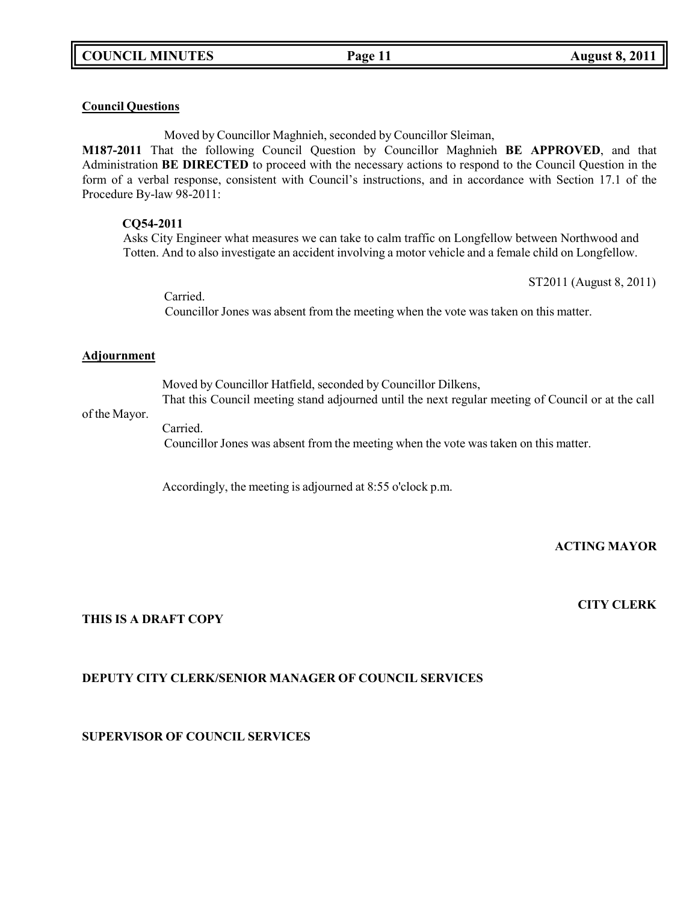## **Council Questions**

Moved by Councillor Maghnieh, seconded by Councillor Sleiman,

**M187-2011** That the following Council Question by Councillor Maghnieh **BE APPROVED**, and that Administration **BE DIRECTED** to proceed with the necessary actions to respond to the Council Question in the form of a verbal response, consistent with Council's instructions, and in accordance with Section 17.1 of the Procedure By-law 98-2011:

### **CQ54-2011**

Asks City Engineer what measures we can take to calm traffic on Longfellow between Northwood and Totten. And to also investigate an accident involving a motor vehicle and a female child on Longfellow.

ST2011 (August 8, 2011)

Carried. Councillor Jones was absent from the meeting when the vote was taken on this matter.

#### **Adjournment**

Moved by Councillor Hatfield, seconded by Councillor Dilkens, That this Council meeting stand adjourned until the next regular meeting of Council or at the call

## of the Mayor.

Carried. Councillor Jones was absent from the meeting when the vote was taken on this matter.

Accordingly, the meeting is adjourned at 8:55 o'clock p.m.

# **ACTING MAYOR**

# **CITY CLERK**

# **THIS IS A DRAFT COPY**

# **DEPUTY CITY CLERK/SENIOR MANAGER OF COUNCIL SERVICES**

**SUPERVISOR OF COUNCIL SERVICES**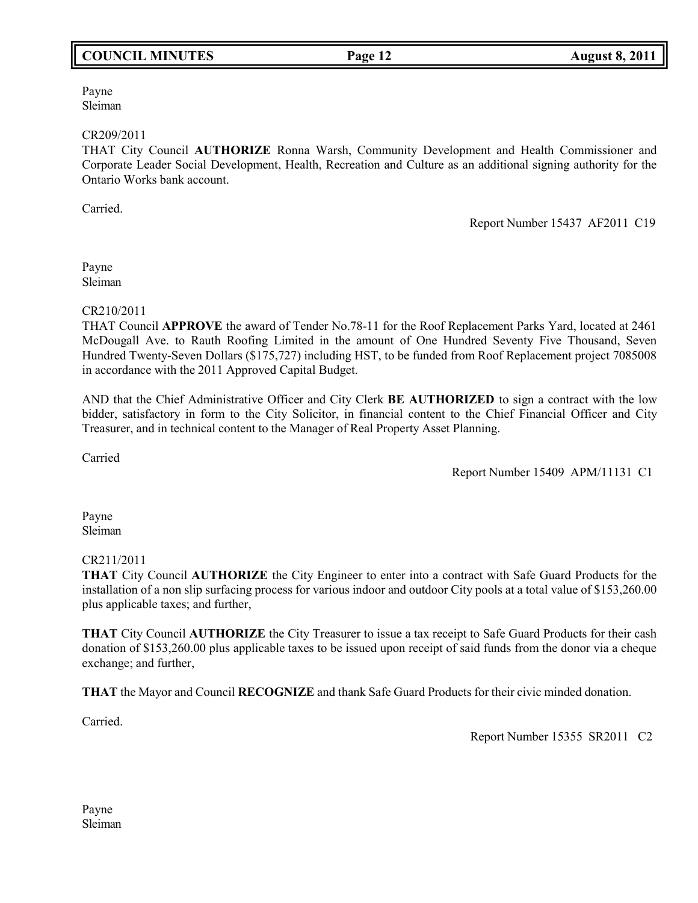# **COUNCIL MINUTES Page 12 August 8, 2011**

Payne Sleiman

#### CR209/2011

THAT City Council **AUTHORIZE** Ronna Warsh, Community Development and Health Commissioner and Corporate Leader Social Development, Health, Recreation and Culture as an additional signing authority for the Ontario Works bank account.

Carried.

Report Number 15437 AF2011 C19

Payne Sleiman

CR210/2011

THAT Council **APPROVE** the award of Tender No.78-11 for the Roof Replacement Parks Yard, located at 2461 McDougall Ave. to Rauth Roofing Limited in the amount of One Hundred Seventy Five Thousand, Seven Hundred Twenty-Seven Dollars (\$175,727) including HST, to be funded from Roof Replacement project 7085008 in accordance with the 2011 Approved Capital Budget.

AND that the Chief Administrative Officer and City Clerk **BE AUTHORIZED** to sign a contract with the low bidder, satisfactory in form to the City Solicitor, in financial content to the Chief Financial Officer and City Treasurer, and in technical content to the Manager of Real Property Asset Planning.

Carried

Report Number 15409 APM/11131 C1

Payne Sleiman

## CR211/2011

**THAT** City Council **AUTHORIZE** the City Engineer to enter into a contract with Safe Guard Products for the installation of a non slip surfacing process for various indoor and outdoor City pools at a total value of \$153,260.00 plus applicable taxes; and further,

**THAT** City Council **AUTHORIZE** the City Treasurer to issue a tax receipt to Safe Guard Products for their cash donation of \$153,260.00 plus applicable taxes to be issued upon receipt of said funds from the donor via a cheque exchange; and further,

**THAT** the Mayor and Council **RECOGNIZE** and thank Safe Guard Products for their civic minded donation.

Carried.

Report Number 15355 SR2011 C2

Payne Sleiman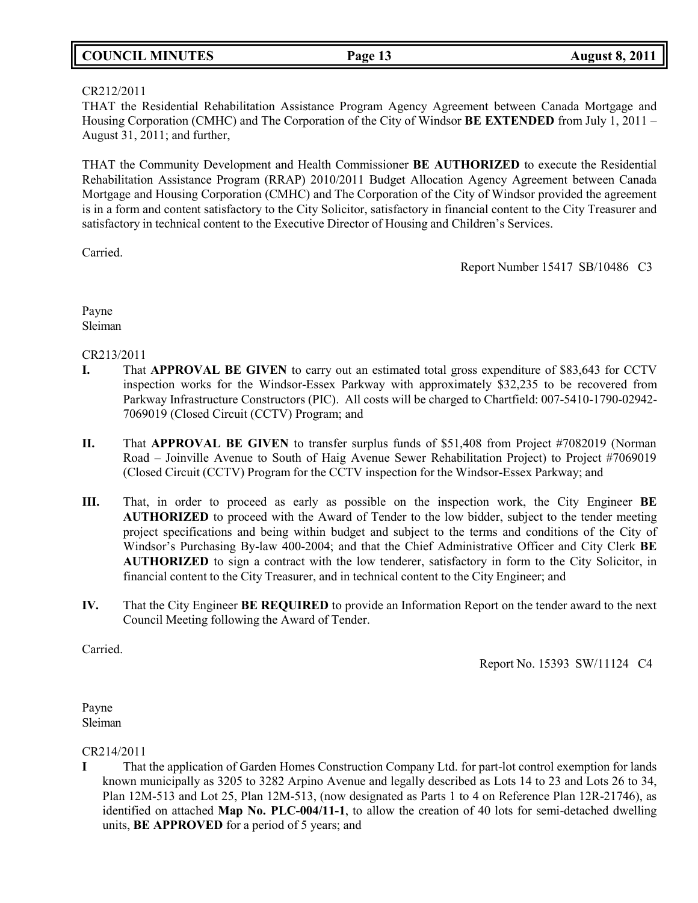|  | <b>COUNCIL MINUTES</b> |
|--|------------------------|
|--|------------------------|

# CR212/2011

THAT the Residential Rehabilitation Assistance Program Agency Agreement between Canada Mortgage and Housing Corporation (CMHC) and The Corporation of the City of Windsor **BE EXTENDED** from July 1, 2011 – August 31, 2011; and further,

THAT the Community Development and Health Commissioner **BE AUTHORIZED** to execute the Residential Rehabilitation Assistance Program (RRAP) 2010/2011 Budget Allocation Agency Agreement between Canada Mortgage and Housing Corporation (CMHC) and The Corporation of the City of Windsor provided the agreement is in a form and content satisfactory to the City Solicitor, satisfactory in financial content to the City Treasurer and satisfactory in technical content to the Executive Director of Housing and Children's Services.

Carried.

Report Number 15417 SB/10486 C3

Payne Sleiman

# CR213/2011

- **I.** That **APPROVAL BE GIVEN** to carry out an estimated total gross expenditure of \$83,643 for CCTV inspection works for the Windsor-Essex Parkway with approximately \$32,235 to be recovered from Parkway Infrastructure Constructors (PIC). All costs will be charged to Chartfield: 007-5410-1790-02942- 7069019 (Closed Circuit (CCTV) Program; and
- **II.** That **APPROVAL BE GIVEN** to transfer surplus funds of \$51,408 from Project #7082019 (Norman Road – Joinville Avenue to South of Haig Avenue Sewer Rehabilitation Project) to Project #7069019 (Closed Circuit (CCTV) Program for the CCTV inspection for the Windsor-Essex Parkway; and
- **III.** That, in order to proceed as early as possible on the inspection work, the City Engineer **BE AUTHORIZED** to proceed with the Award of Tender to the low bidder, subject to the tender meeting project specifications and being within budget and subject to the terms and conditions of the City of Windsor's Purchasing By-law 400-2004; and that the Chief Administrative Officer and City Clerk **BE AUTHORIZED** to sign a contract with the low tenderer, satisfactory in form to the City Solicitor, in financial content to the City Treasurer, and in technical content to the City Engineer; and
- **IV.** That the City Engineer **BE REQUIRED** to provide an Information Report on the tender award to the next Council Meeting following the Award of Tender.

Carried.

Report No. 15393 SW/11124 C4

Payne Sleiman

# CR214/2011

**I** That the application of Garden Homes Construction Company Ltd. for part-lot control exemption for lands known municipally as 3205 to 3282 Arpino Avenue and legally described as Lots 14 to 23 and Lots 26 to 34, Plan 12M-513 and Lot 25, Plan 12M-513, (now designated as Parts 1 to 4 on Reference Plan 12R-21746), as identified on attached **Map No. PLC-004/11-1**, to allow the creation of 40 lots for semi-detached dwelling units, **BE APPROVED** for a period of 5 years; and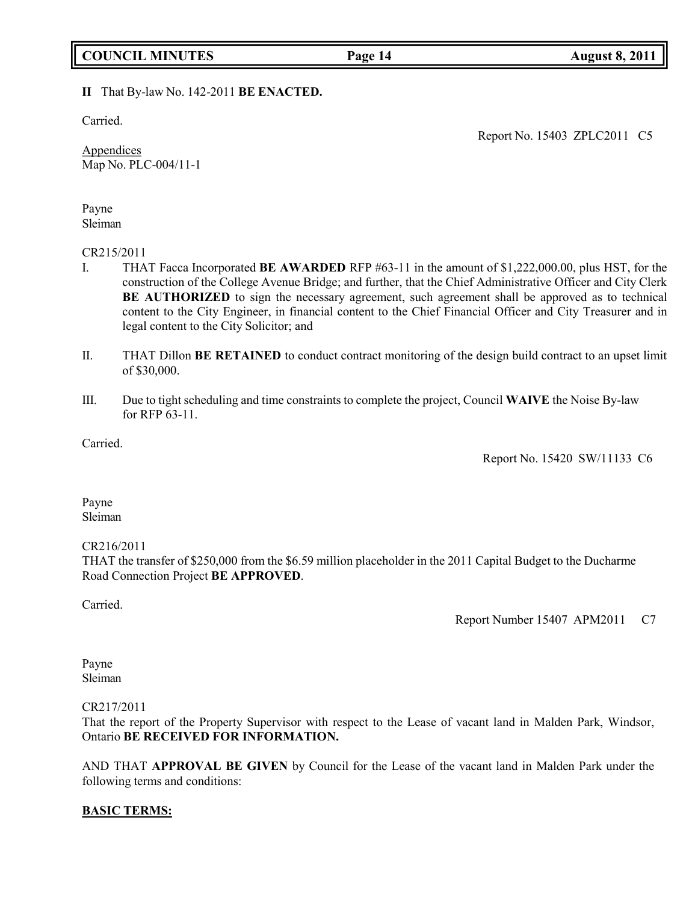# **COUNCIL MINUTES Page 14 August 8, 2011**

# **II** That By-law No. 142-2011 **BE ENACTED.**

Carried.

**Appendices** Map No. PLC-004/11-1 Report No. 15403 ZPLC2011 C5

Payne Sleiman

#### CR215/2011

- I. THAT Facca Incorporated **BE AWARDED** RFP #63-11 in the amount of \$1,222,000.00, plus HST, for the construction of the College Avenue Bridge; and further, that the Chief Administrative Officer and City Clerk **BE AUTHORIZED** to sign the necessary agreement, such agreement shall be approved as to technical content to the City Engineer, in financial content to the Chief Financial Officer and City Treasurer and in legal content to the City Solicitor; and
- II. THAT Dillon **BE RETAINED** to conduct contract monitoring of the design build contract to an upset limit of \$30,000.
- III. Due to tight scheduling and time constraints to complete the project, Council **WAIVE** the Noise By-law for RFP 63-11.

Carried.

Report No. 15420 SW/11133 C6

Payne Sleiman

## CR216/2011

THAT the transfer of \$250,000 from the \$6.59 million placeholder in the 2011 Capital Budget to the Ducharme Road Connection Project **BE APPROVED**.

Carried.

Report Number 15407 APM2011 C7

Payne Sleiman

#### CR217/2011

That the report of the Property Supervisor with respect to the Lease of vacant land in Malden Park, Windsor, Ontario **BE RECEIVED FOR INFORMATION.**

AND THAT **APPROVAL BE GIVEN** by Council for the Lease of the vacant land in Malden Park under the following terms and conditions:

## **BASIC TERMS:**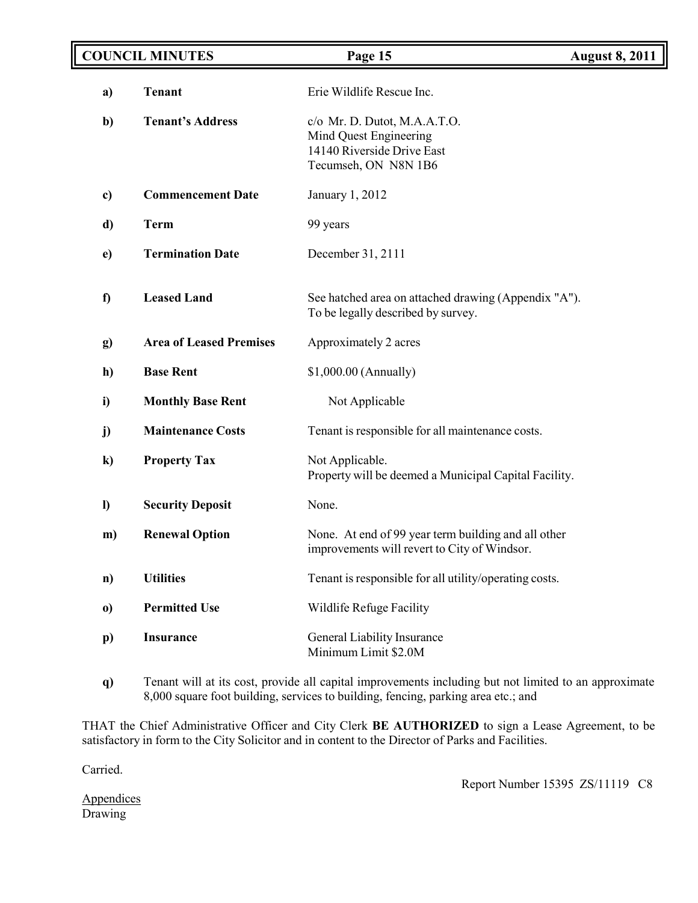| <b>COUNCIL MINUTES</b> |                                | Page 15                                                                                                         | <b>August 8, 2011</b> |
|------------------------|--------------------------------|-----------------------------------------------------------------------------------------------------------------|-----------------------|
| a)                     | <b>Tenant</b>                  | Erie Wildlife Rescue Inc.                                                                                       |                       |
| b)                     | <b>Tenant's Address</b>        | $c$ /o Mr. D. Dutot, M.A.A.T.O.<br>Mind Quest Engineering<br>14140 Riverside Drive East<br>Tecumseh, ON N8N 1B6 |                       |
| c)                     | <b>Commencement Date</b>       | January 1, 2012                                                                                                 |                       |
| d)                     | <b>Term</b>                    | 99 years                                                                                                        |                       |
| $\mathbf{e}$           | <b>Termination Date</b>        | December 31, 2111                                                                                               |                       |
| f)                     | <b>Leased Land</b>             | See hatched area on attached drawing (Appendix "A").<br>To be legally described by survey.                      |                       |
| g)                     | <b>Area of Leased Premises</b> | Approximately 2 acres                                                                                           |                       |
| h)                     | <b>Base Rent</b>               | $$1,000.00$ (Annually)                                                                                          |                       |
| i)                     | <b>Monthly Base Rent</b>       | Not Applicable                                                                                                  |                       |
| j)                     | <b>Maintenance Costs</b>       | Tenant is responsible for all maintenance costs.                                                                |                       |
| $\bf k)$               | <b>Property Tax</b>            | Not Applicable.<br>Property will be deemed a Municipal Capital Facility.                                        |                       |
| $\mathbf{I}$           | <b>Security Deposit</b>        | None.                                                                                                           |                       |
| m)                     | <b>Renewal Option</b>          | None. At end of 99 year term building and all other<br>improvements will revert to City of Windsor.             |                       |
| $\mathbf{n}$           | <b>Utilities</b>               | Tenant is responsible for all utility/operating costs.                                                          |                       |
| $\bf{0}$               | <b>Permitted Use</b>           | Wildlife Refuge Facility                                                                                        |                       |
| $\mathbf{p}$           | <b>Insurance</b>               | General Liability Insurance<br>Minimum Limit \$2.0M                                                             |                       |

**q)** Tenant will at its cost, provide all capital improvements including but not limited to an approximate 8,000 square foot building, services to building, fencing, parking area etc.; and

THAT the Chief Administrative Officer and City Clerk **BE AUTHORIZED** to sign a Lease Agreement, to be satisfactory in form to the City Solicitor and in content to the Director of Parks and Facilities.

Carried.

Report Number 15395 ZS/11119 C8

**Appendices** Drawing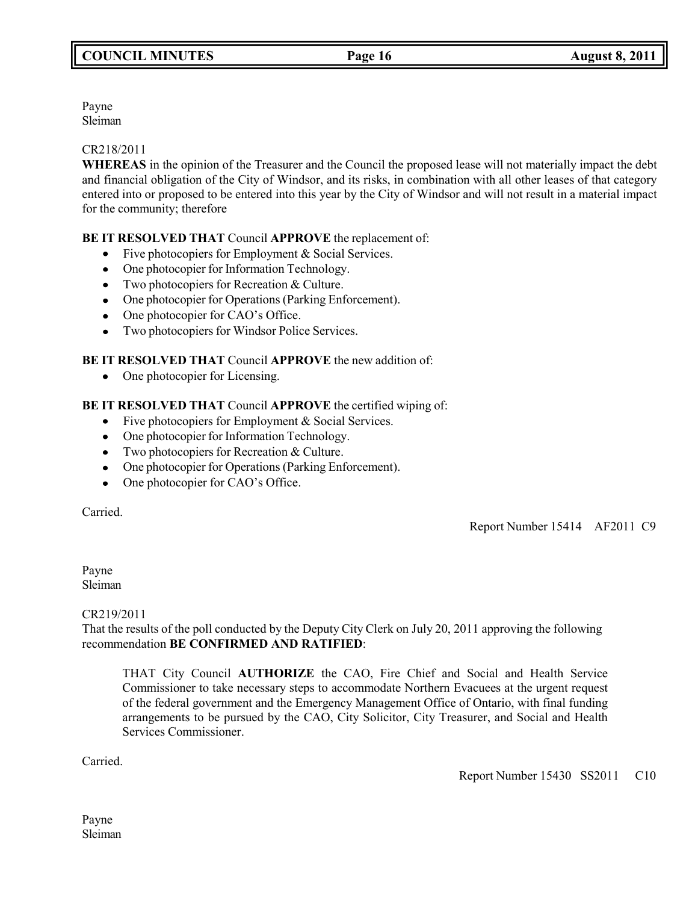Payne Sleiman

## CR218/2011

**WHEREAS** in the opinion of the Treasurer and the Council the proposed lease will not materially impact the debt and financial obligation of the City of Windsor, and its risks, in combination with all other leases of that category entered into or proposed to be entered into this year by the City of Windsor and will not result in a material impact for the community; therefore

# **BE IT RESOLVED THAT** Council **APPROVE** the replacement of:

- Five photocopiers for Employment & Social Services.
- One photocopier for Information Technology.
- Two photocopiers for Recreation & Culture.
- One photocopier for Operations (Parking Enforcement).
- One photocopier for CAO's Office.
- Two photocopiers for Windsor Police Services.

# **BE IT RESOLVED THAT** Council **APPROVE** the new addition of:

• One photocopier for Licensing.

# **BE IT RESOLVED THAT** Council **APPROVE** the certified wiping of:

- Five photocopiers for Employment & Social Services.
- One photocopier for Information Technology.
- Two photocopiers for Recreation & Culture.
- One photocopier for Operations (Parking Enforcement).
- One photocopier for CAO's Office.

Carried.

Report Number 15414 AF2011 C9

Payne Sleiman

#### CR219/2011

That the results of the poll conducted by the Deputy City Clerk on July 20, 2011 approving the following recommendation **BE CONFIRMED AND RATIFIED**:

THAT City Council **AUTHORIZE** the CAO, Fire Chief and Social and Health Service Commissioner to take necessary steps to accommodate Northern Evacuees at the urgent request of the federal government and the Emergency Management Office of Ontario, with final funding arrangements to be pursued by the CAO, City Solicitor, City Treasurer, and Social and Health Services Commissioner.

Carried.

Report Number 15430 SS2011 C10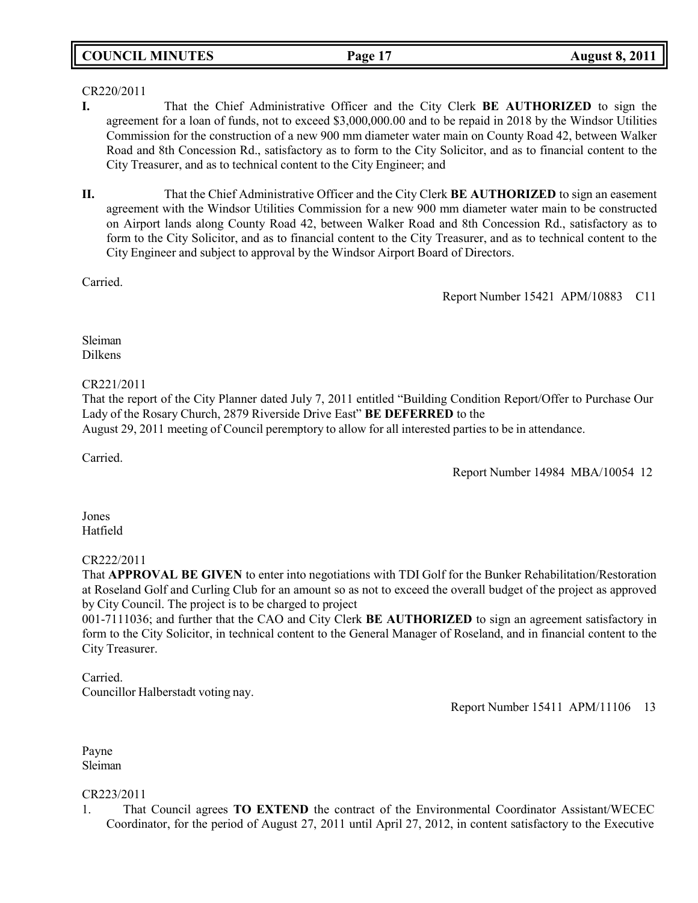# **COUNCIL MINUTES Page 17 August 8, 2011**

## CR220/2011

- **I.** That the Chief Administrative Officer and the City Clerk **BE AUTHORIZED** to sign the agreement for a loan of funds, not to exceed \$3,000,000.00 and to be repaid in 2018 by the Windsor Utilities Commission for the construction of a new 900 mm diameter water main on County Road 42, between Walker Road and 8th Concession Rd., satisfactory as to form to the City Solicitor, and as to financial content to the City Treasurer, and as to technical content to the City Engineer; and
- **II.** That the Chief Administrative Officer and the City Clerk **BE AUTHORIZED** to sign an easement agreement with the Windsor Utilities Commission for a new 900 mm diameter water main to be constructed on Airport lands along County Road 42, between Walker Road and 8th Concession Rd., satisfactory as to form to the City Solicitor, and as to financial content to the City Treasurer, and as to technical content to the City Engineer and subject to approval by the Windsor Airport Board of Directors.

Carried.

Report Number 15421 APM/10883 C11

Sleiman Dilkens

## CR221/2011

That the report of the City Planner dated July 7, 2011 entitled "Building Condition Report/Offer to Purchase Our Lady of the Rosary Church, 2879 Riverside Drive East" **BE DEFERRED** to the

August 29, 2011 meeting of Council peremptory to allow for all interested parties to be in attendance.

Carried.

Report Number 14984 MBA/10054 12

Jones Hatfield

## CR222/2011

That **APPROVAL BE GIVEN** to enter into negotiations with TDI Golf for the Bunker Rehabilitation/Restoration at Roseland Golf and Curling Club for an amount so as not to exceed the overall budget of the project as approved by City Council. The project is to be charged to project

001-7111036; and further that the CAO and City Clerk **BE AUTHORIZED** to sign an agreement satisfactory in form to the City Solicitor, in technical content to the General Manager of Roseland, and in financial content to the City Treasurer.

Carried. Councillor Halberstadt voting nay.

Report Number 15411 APM/11106 13

Payne Sleiman

## CR223/2011

1. That Council agrees **TO EXTEND** the contract of the Environmental Coordinator Assistant/WECEC Coordinator, for the period of August 27, 2011 until April 27, 2012, in content satisfactory to the Executive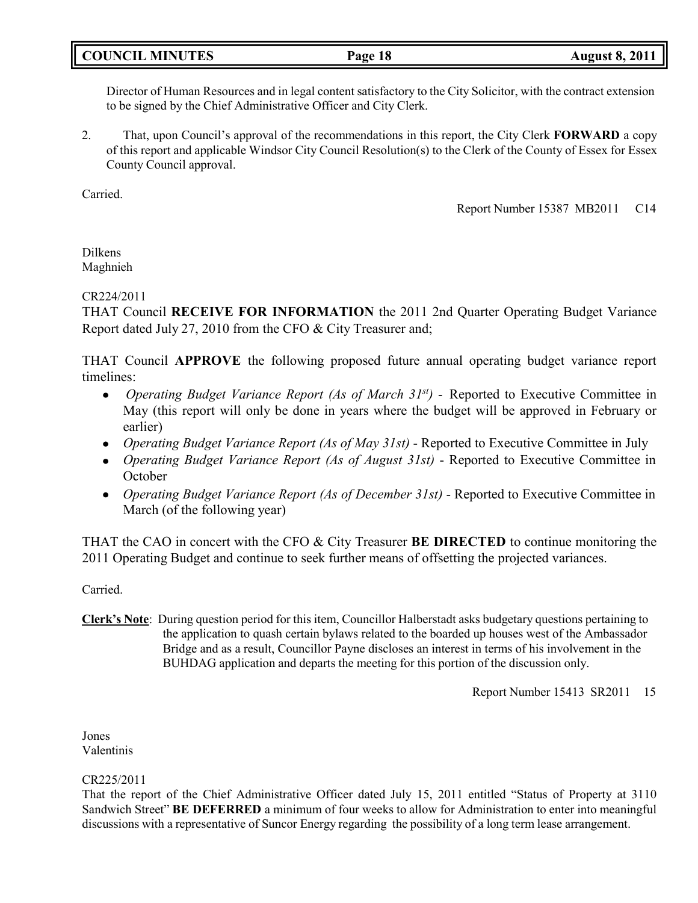# **COUNCIL MINUTES Page 18 August 8, 2011**

Director of Human Resources and in legal content satisfactory to the City Solicitor, with the contract extension to be signed by the Chief Administrative Officer and City Clerk.

2. That, upon Council's approval of the recommendations in this report, the City Clerk **FORWARD** a copy of this report and applicable Windsor City Council Resolution(s) to the Clerk of the County of Essex for Essex County Council approval.

Carried.

Report Number 15387 MB2011 C14

Dilkens Maghnieh

# CR224/2011

THAT Council **RECEIVE FOR INFORMATION** the 2011 2nd Quarter Operating Budget Variance Report dated July 27, 2010 from the CFO & City Treasurer and;

THAT Council **APPROVE** the following proposed future annual operating budget variance report timelines:

- *Operating Budget Variance Report (As of March 31st)*  Reported to Executive Committee in  $\bullet$ May (this report will only be done in years where the budget will be approved in February or earlier)
- *Operating Budget Variance Report (As of May 31st)* Reported to Executive Committee in July
- *Operating Budget Variance Report (As of August 31st)* Reported to Executive Committee in **October**
- *Operating Budget Variance Report (As of December 31st)* Reported to Executive Committee in March (of the following year)

THAT the CAO in concert with the CFO & City Treasurer **BE DIRECTED** to continue monitoring the 2011 Operating Budget and continue to seek further means of offsetting the projected variances.

Carried.

**Clerk's Note**: During question period for this item, Councillor Halberstadt asks budgetary questions pertaining to the application to quash certain bylaws related to the boarded up houses west of the Ambassador Bridge and as a result, Councillor Payne discloses an interest in terms of his involvement in the BUHDAG application and departs the meeting for this portion of the discussion only.

Report Number 15413 SR2011 15

Jones Valentinis

## CR225/2011

That the report of the Chief Administrative Officer dated July 15, 2011 entitled "Status of Property at 3110 Sandwich Street" **BE DEFERRED** a minimum of four weeks to allow for Administration to enter into meaningful discussions with a representative of Suncor Energy regarding the possibility of a long term lease arrangement.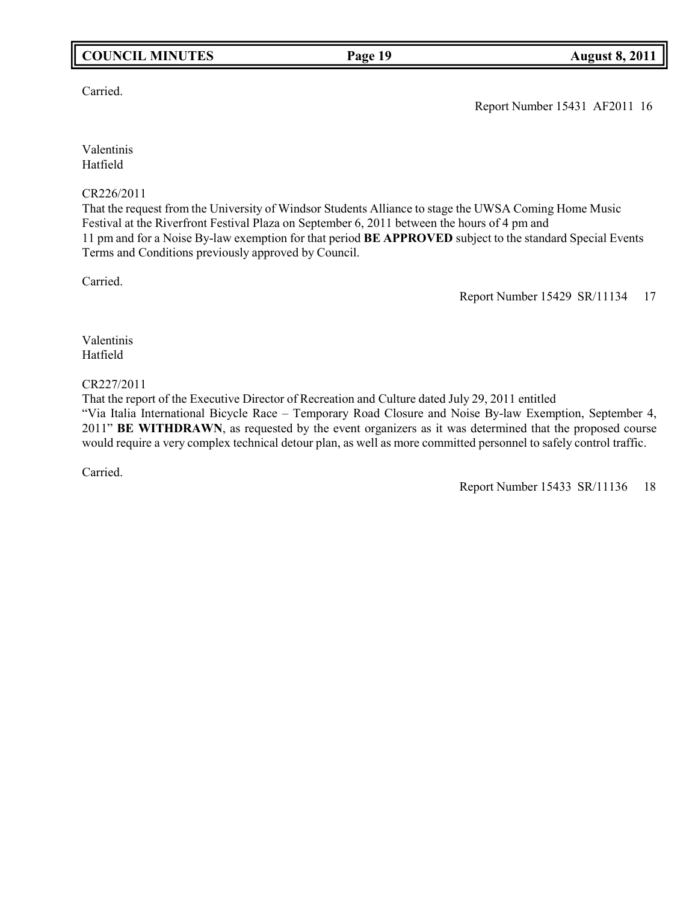# **COUNCIL MINUTES Page 19 August 8, 2011**

Carried.

Report Number 15431 AF2011 16

Valentinis Hatfield

### CR226/2011

That the request from the University of Windsor Students Alliance to stage the UWSA Coming Home Music Festival at the Riverfront Festival Plaza on September 6, 2011 between the hours of 4 pm and 11 pm and for a Noise By-law exemption for that period **BE APPROVED** subject to the standard Special Events Terms and Conditions previously approved by Council.

Carried.

Report Number 15429 SR/11134 17

Valentinis Hatfield

### CR227/2011

That the report of the Executive Director of Recreation and Culture dated July 29, 2011 entitled "Via Italia International Bicycle Race – Temporary Road Closure and Noise By-law Exemption, September 4, 2011" **BE WITHDRAWN**, as requested by the event organizers as it was determined that the proposed course would require a very complex technical detour plan, as well as more committed personnel to safely control traffic.

Carried.

Report Number 15433 SR/11136 18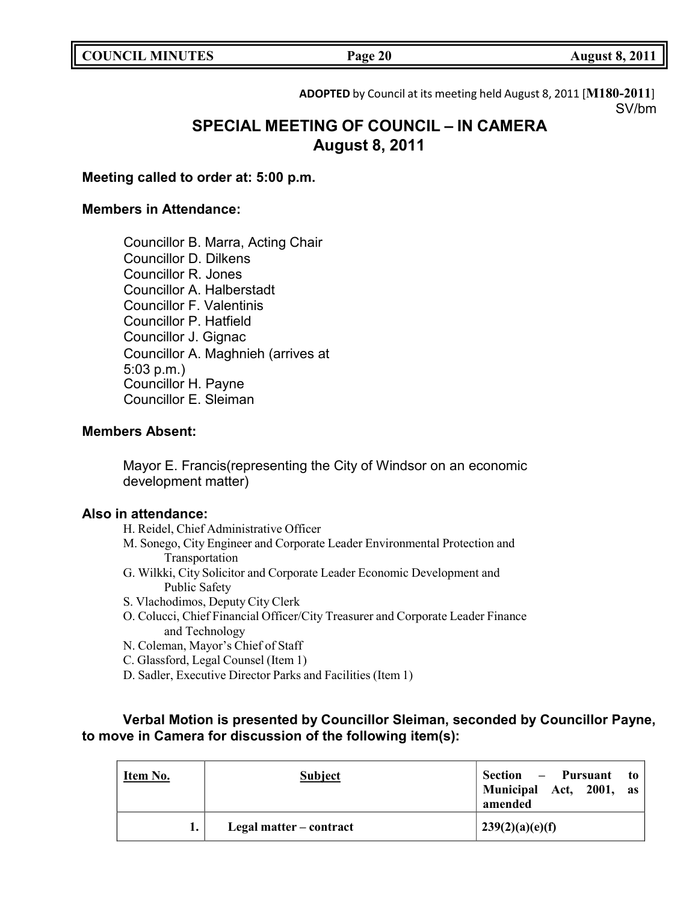| <b>COUNCIL MINUTES</b> |  |
|------------------------|--|
|------------------------|--|

**ADOPTED** by Council at its meeting held August 8, 2011 [**M180-2011**] SV/bm

# **SPECIAL MEETING OF COUNCIL – IN CAMERA August 8, 2011**

# **Meeting called to order at: 5:00 p.m.**

# **Members in Attendance:**

Councillor B. Marra, Acting Chair Councillor D. Dilkens Councillor R. Jones Councillor A. Halberstadt Councillor F. Valentinis Councillor P. Hatfield Councillor J. Gignac Councillor A. Maghnieh (arrives at 5:03 p.m.) Councillor H. Payne Councillor E. Sleiman

# **Members Absent:**

Mayor E. Francis(representing the City of Windsor on an economic development matter)

# **Also in attendance:**

H. Reidel, Chief Administrative Officer

- M. Sonego, City Engineer and Corporate Leader Environmental Protection and Transportation
- G. Wilkki, City Solicitor and Corporate Leader Economic Development and Public Safety
- S. Vlachodimos, Deputy City Clerk
- O. Colucci, Chief Financial Officer/City Treasurer and Corporate Leader Finance and Technology
- N. Coleman, Mayor's Chief of Staff
- C. Glassford, Legal Counsel (Item 1)
- D. Sadler, Executive Director Parks and Facilities (Item 1)

# **Verbal Motion is presented by Councillor Sleiman, seconded by Councillor Payne, to move in Camera for discussion of the following item(s):**

| Item No. | <b>Subject</b>          | Section – Pursuant to<br>Municipal Act, 2001, as<br>amended |
|----------|-------------------------|-------------------------------------------------------------|
|          | Legal matter – contract | 239(2)(a)(e)(f)                                             |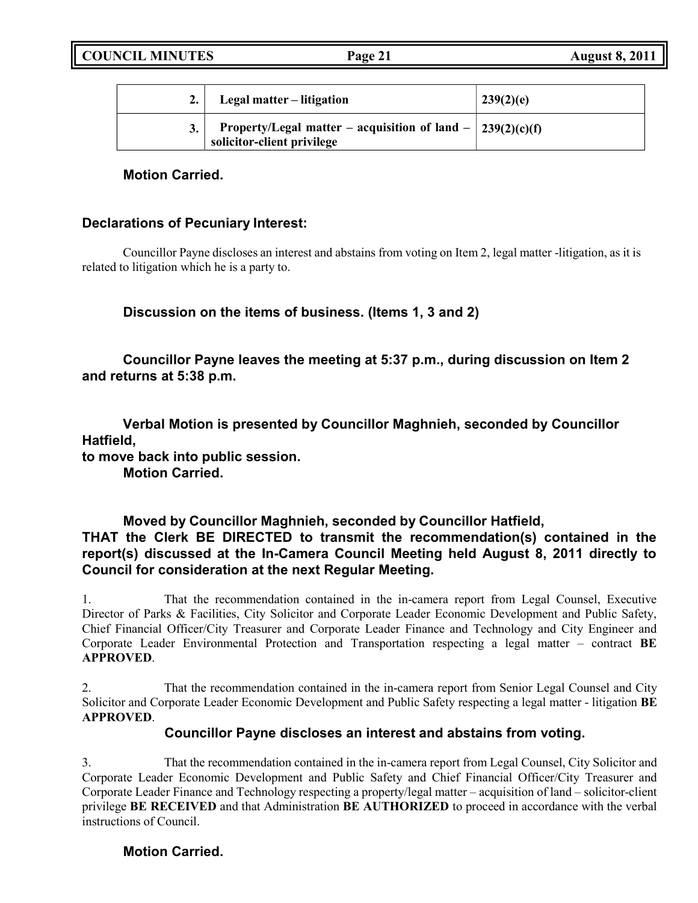| Legal matter – litigation                                                                            | 239(2)(e) |
|------------------------------------------------------------------------------------------------------|-----------|
| Property/Legal matter – acquisition of land – $\frac{239(2)(c)(f)}{2}$<br>solicitor-client privilege |           |

# **Motion Carried.**

# **Declarations of Pecuniary Interest:**

Councillor Payne discloses an interest and abstains from voting on Item 2, legal matter -litigation, as it is related to litigation which he is a party to.

# **Discussion on the items of business. (Items 1, 3 and 2)**

**Councillor Payne leaves the meeting at 5:37 p.m., during discussion on Item 2 and returns at 5:38 p.m.**

**Verbal Motion is presented by Councillor Maghnieh, seconded by Councillor Hatfield, to move back into public session.**

**Motion Carried.**

# **Moved by Councillor Maghnieh, seconded by Councillor Hatfield, THAT the Clerk BE DIRECTED to transmit the recommendation(s) contained in the report(s) discussed at the In-Camera Council Meeting held August 8, 2011 directly to Council for consideration at the next Regular Meeting.**

1. That the recommendation contained in the in-camera report from Legal Counsel, Executive Director of Parks & Facilities, City Solicitor and Corporate Leader Economic Development and Public Safety, Chief Financial Officer/City Treasurer and Corporate Leader Finance and Technology and City Engineer and Corporate Leader Environmental Protection and Transportation respecting a legal matter – contract **BE APPROVED**.

2. That the recommendation contained in the in-camera report from Senior Legal Counsel and City Solicitor and Corporate Leader Economic Development and Public Safety respecting a legal matter - litigation **BE APPROVED**.

# **Councillor Payne discloses an interest and abstains from voting.**

3. That the recommendation contained in the in-camera report from Legal Counsel, City Solicitor and Corporate Leader Economic Development and Public Safety and Chief Financial Officer/City Treasurer and Corporate Leader Finance and Technology respecting a property/legal matter – acquisition of land – solicitor-client privilege **BE RECEIVED** and that Administration **BE AUTHORIZED** to proceed in accordance with the verbal instructions of Council.

# **Motion Carried.**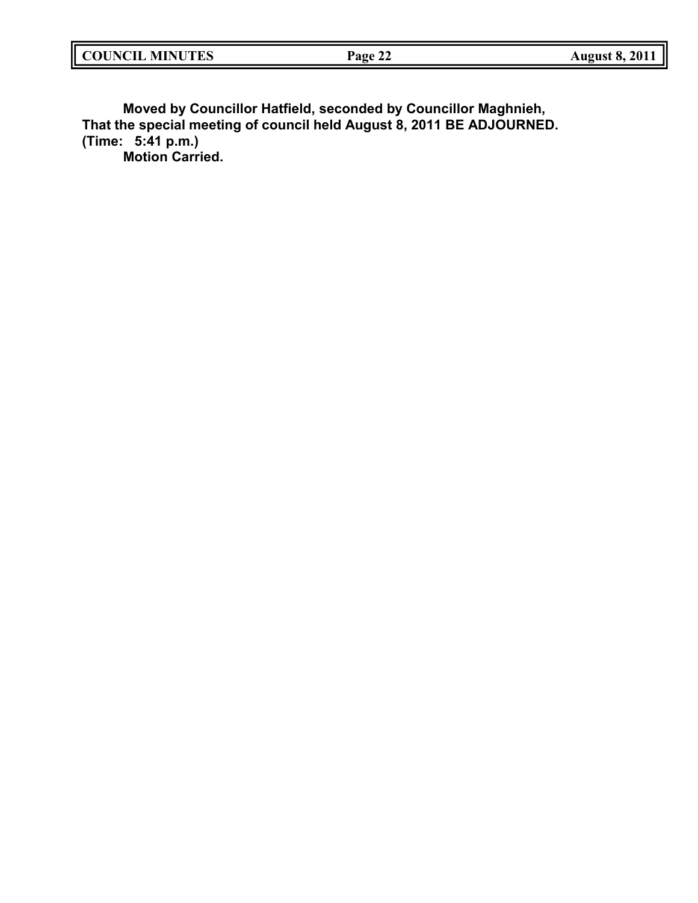| <b>COUNCIL MINUTES</b> | Page 22 | <b>August 8, 2011</b> |
|------------------------|---------|-----------------------|
|                        |         |                       |

**Moved by Councillor Hatfield, seconded by Councillor Maghnieh, That the special meeting of council held August 8, 2011 BE ADJOURNED. (Time: 5:41 p.m.) Motion Carried.**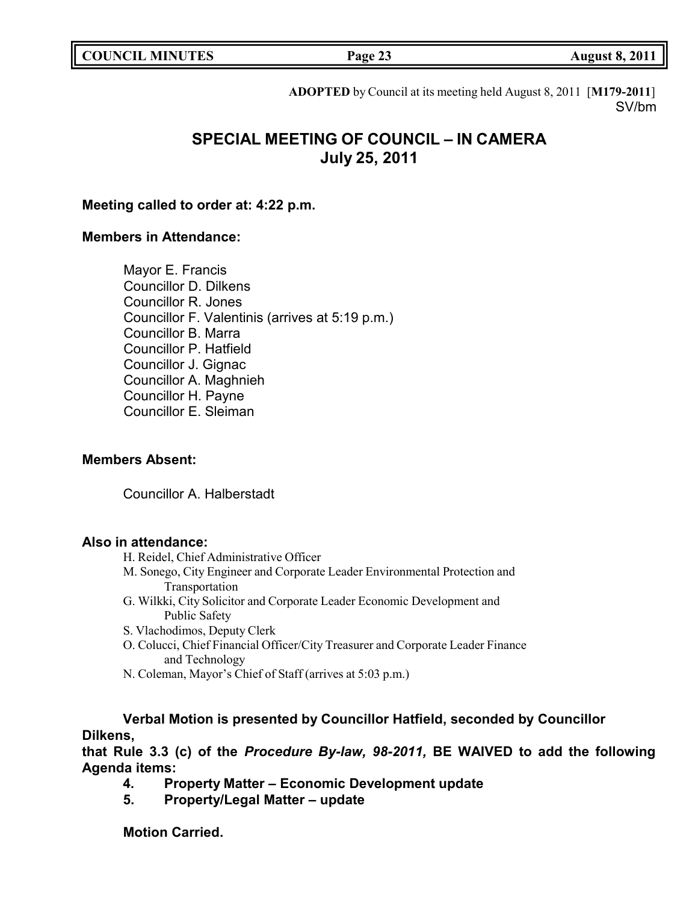|  | <b>COUNCIL MINUTES</b> |
|--|------------------------|
|--|------------------------|

**Page 23 August 8, 2011** 

**ADOPTED** by Council at its meeting held August 8, 2011 [**M179-2011**] SV/bm

# **SPECIAL MEETING OF COUNCIL – IN CAMERA July 25, 2011**

# **Meeting called to order at: 4:22 p.m.**

# **Members in Attendance:**

Mayor E. Francis Councillor D. Dilkens Councillor R. Jones Councillor F. Valentinis (arrives at 5:19 p.m.) Councillor B. Marra Councillor P. Hatfield Councillor J. Gignac Councillor A. Maghnieh Councillor H. Payne Councillor E. Sleiman

# **Members Absent:**

Councillor A. Halberstadt

# **Also in attendance:**

- H. Reidel, Chief Administrative Officer
- M. Sonego, City Engineer and Corporate Leader Environmental Protection and Transportation
- G. Wilkki, City Solicitor and Corporate Leader Economic Development and Public Safety
- S. Vlachodimos, Deputy Clerk
- O. Colucci, Chief Financial Officer/City Treasurer and Corporate Leader Finance and Technology
- N. Coleman, Mayor's Chief of Staff (arrives at 5:03 p.m.)

**Verbal Motion is presented by Councillor Hatfield, seconded by Councillor Dilkens,**

**that Rule 3.3 (c) of the** *Procedure By-law, 98-2011,* **BE WAIVED to add the following Agenda items:**

- **4. Property Matter – Economic Development update**
- **5. Property/Legal Matter – update**

# **Motion Carried.**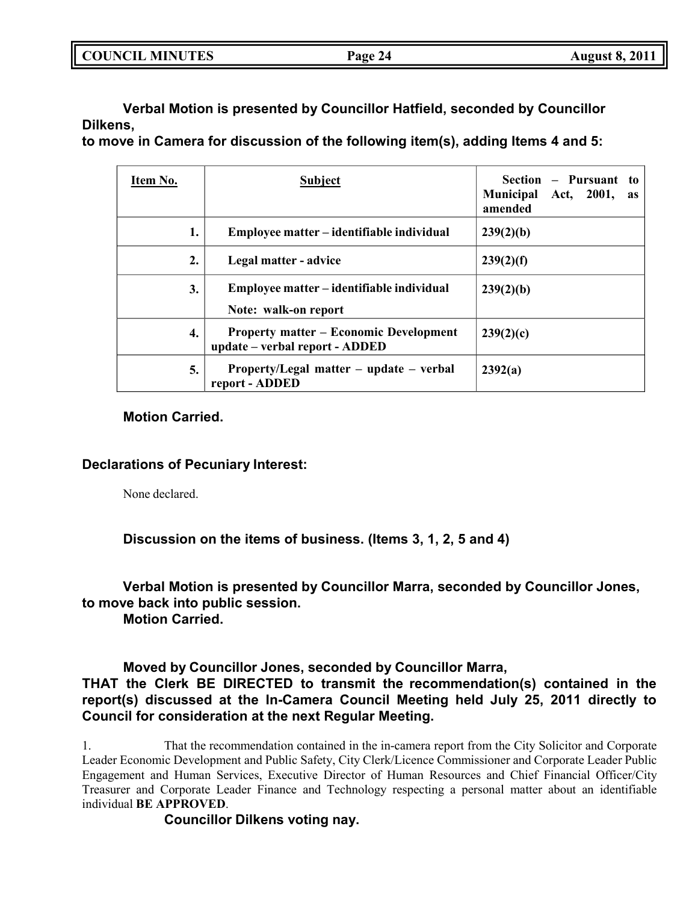| <b>COUNCIL MINUTES</b> | Page 24 | <b>August 8, 2011</b> |
|------------------------|---------|-----------------------|
|                        |         |                       |

**Verbal Motion is presented by Councillor Hatfield, seconded by Councillor Dilkens,**

**to move in Camera for discussion of the following item(s), adding Items 4 and 5:**

| Item No. | <b>Subject</b>                                                                  | Section – Pursuant to<br><b>Municipal</b><br>2001,<br>Act,<br><b>as</b><br>amended |
|----------|---------------------------------------------------------------------------------|------------------------------------------------------------------------------------|
| 1.       | Employee matter – identifiable individual                                       | 239(2)(b)                                                                          |
| 2.       | Legal matter - advice                                                           | 239(2)(f)                                                                          |
| 3.       | Employee matter – identifiable individual<br>Note: walk-on report               | 239(2)(b)                                                                          |
| 4.       | <b>Property matter – Economic Development</b><br>update - verbal report - ADDED | 239(2)(c)                                                                          |
| 5.       | Property/Legal matter – update – verbal<br>report - ADDED                       | 2392(a)                                                                            |

# **Motion Carried.**

# **Declarations of Pecuniary Interest:**

None declared.

**Discussion on the items of business. (Items 3, 1, 2, 5 and 4)**

# **Verbal Motion is presented by Councillor Marra, seconded by Councillor Jones, to move back into public session.**

**Motion Carried.**

# **Moved by Councillor Jones, seconded by Councillor Marra, THAT the Clerk BE DIRECTED to transmit the recommendation(s) contained in the report(s) discussed at the In-Camera Council Meeting held July 25, 2011 directly to Council for consideration at the next Regular Meeting.**

1. That the recommendation contained in the in-camera report from the City Solicitor and Corporate Leader Economic Development and Public Safety, City Clerk/Licence Commissioner and Corporate Leader Public Engagement and Human Services, Executive Director of Human Resources and Chief Financial Officer/City Treasurer and Corporate Leader Finance and Technology respecting a personal matter about an identifiable individual **BE APPROVED**.

**Councillor Dilkens voting nay.**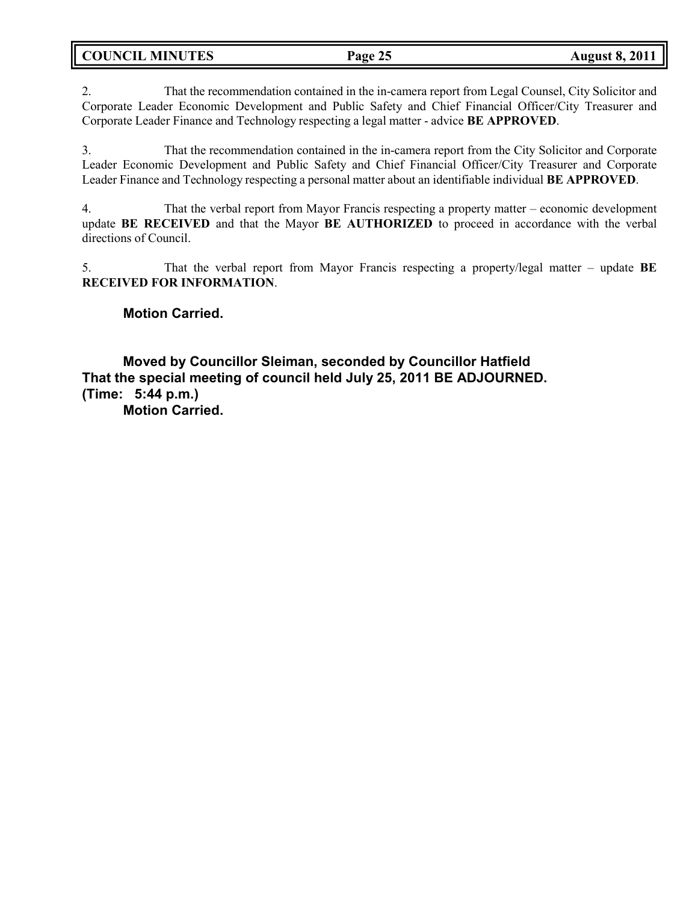**COUNCIL MINUTES Page 25 August 8, 2011**

2. That the recommendation contained in the in-camera report from Legal Counsel, City Solicitor and Corporate Leader Economic Development and Public Safety and Chief Financial Officer/City Treasurer and Corporate Leader Finance and Technology respecting a legal matter - advice **BE APPROVED**.

3. That the recommendation contained in the in-camera report from the City Solicitor and Corporate Leader Economic Development and Public Safety and Chief Financial Officer/City Treasurer and Corporate Leader Finance and Technology respecting a personal matter about an identifiable individual **BE APPROVED**.

4. That the verbal report from Mayor Francis respecting a property matter – economic development update **BE RECEIVED** and that the Mayor **BE AUTHORIZED** to proceed in accordance with the verbal directions of Council.

5. That the verbal report from Mayor Francis respecting a property/legal matter – update **BE RECEIVED FOR INFORMATION**.

# **Motion Carried.**

**Moved by Councillor Sleiman, seconded by Councillor Hatfield That the special meeting of council held July 25, 2011 BE ADJOURNED. (Time: 5:44 p.m.)**

**Motion Carried.**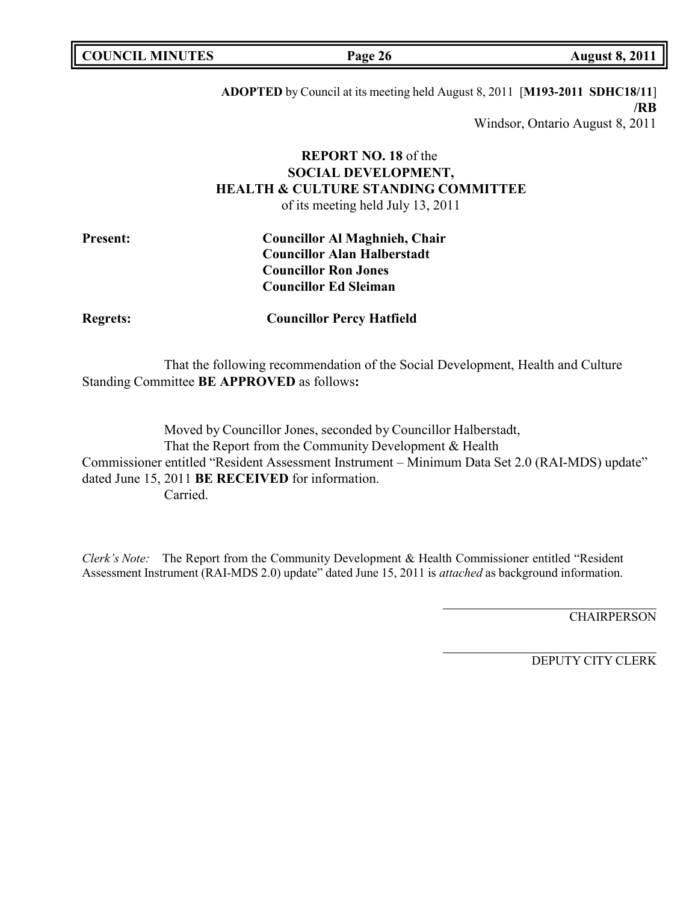**COUNCIL MINUTES Page 26 August 8, 2011**

**ADOPTED** by Council at its meeting held August 8, 2011 [**M193-2011 SDHC18/11**] **/RB** Windsor, Ontario August 8, 2011

# **REPORT NO. 18** of the **SOCIAL DEVELOPMENT, HEALTH & CULTURE STANDING COMMITTEE**

of its meeting held July 13, 2011

| <b>Present:</b> | <b>Councillor Al Maghnieh, Chair</b> |
|-----------------|--------------------------------------|
|                 | <b>Councillor Alan Halberstadt</b>   |
|                 | <b>Councillor Ron Jones</b>          |
|                 | <b>Councillor Ed Sleiman</b>         |

**Regrets: Councillor Percy Hatfield**

That the following recommendation of the Social Development, Health and Culture Standing Committee **BE APPROVED** as follows**:**

Moved by Councillor Jones, seconded by Councillor Halberstadt, That the Report from the Community Development & Health Commissioner entitled "Resident Assessment Instrument – Minimum Data Set 2.0 (RAI-MDS) update" dated June 15, 2011 **BE RECEIVED** for information. Carried.

*Clerk's Note:* The Report from the Community Development & Health Commissioner entitled "Resident Assessment Instrument (RAI-MDS 2.0) update" dated June 15, 2011 is *attached* as background information.

**CHAIRPERSON**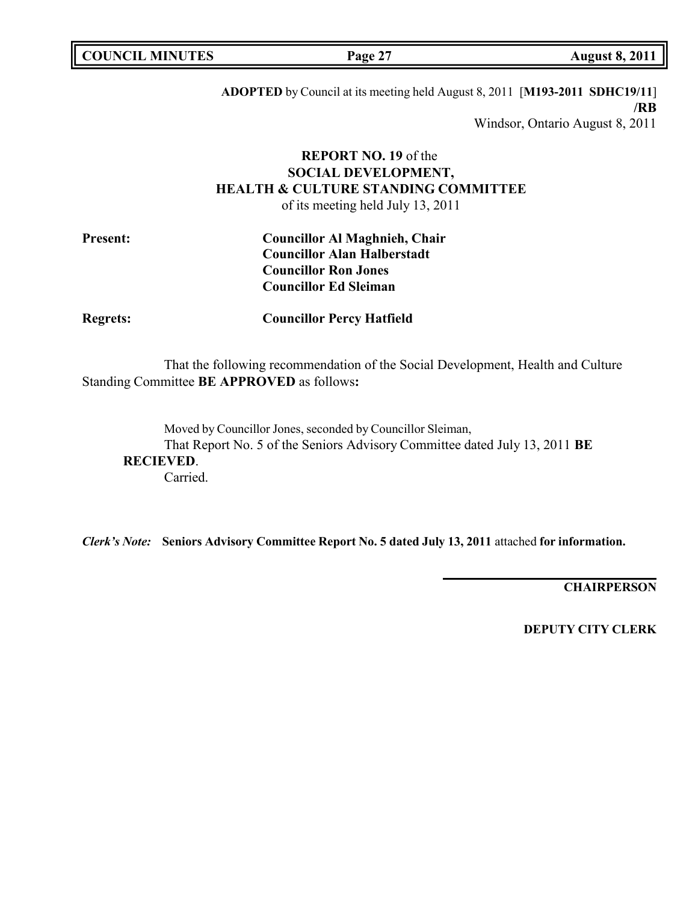**COUNCIL MINUTES Page 27 August 8, 2011**

**ADOPTED** by Council at its meeting held August 8, 2011 [**M193-2011 SDHC19/11**] **/RB** Windsor, Ontario August 8, 2011

# **REPORT NO. 19** of the **SOCIAL DEVELOPMENT, HEALTH & CULTURE STANDING COMMITTEE**

of its meeting held July 13, 2011

| <b>Present:</b> | <b>Councillor Al Maghnieh, Chair</b> |
|-----------------|--------------------------------------|
|                 | <b>Councillor Alan Halberstadt</b>   |
|                 | <b>Councillor Ron Jones</b>          |
|                 | <b>Councillor Ed Sleiman</b>         |

**Regrets: Councillor Percy Hatfield**

That the following recommendation of the Social Development, Health and Culture Standing Committee **BE APPROVED** as follows**:**

Moved by Councillor Jones, seconded by Councillor Sleiman, That Report No. 5 of the Seniors Advisory Committee dated July 13, 2011 **BE RECIEVED**. Carried.

*Clerk's Note:* **Seniors Advisory Committee Report No. 5 dated July 13, 2011** attached **for information.**

**CHAIRPERSON**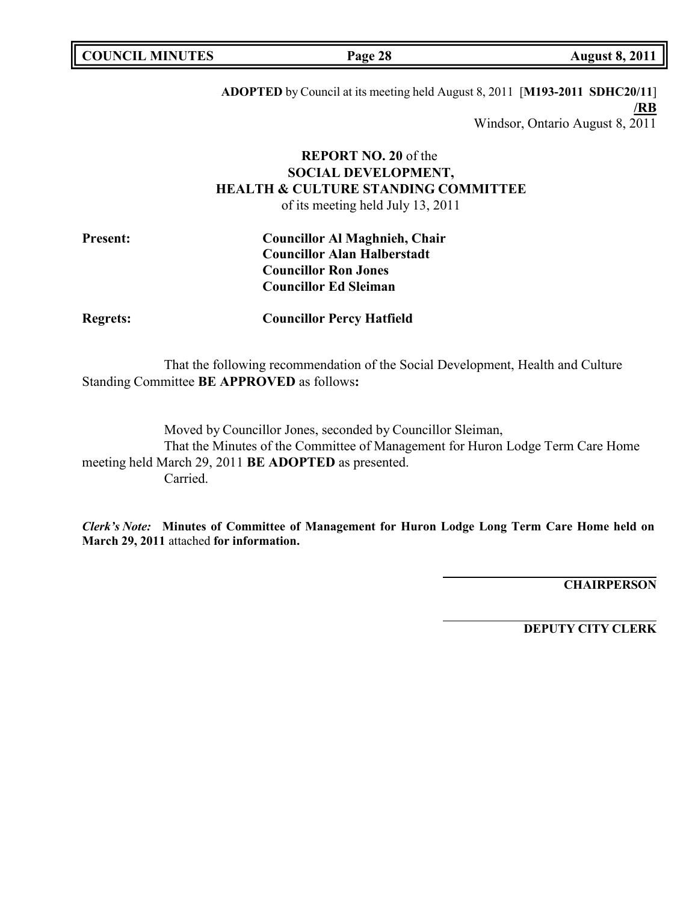**COUNCIL MINUTES Page 28 August 8, 2011**

**ADOPTED** by Council at its meeting held August 8, 2011 [**M193-2011 SDHC20/11**] **/RB** Windsor, Ontario August 8, 2011

# **REPORT NO. 20** of the **SOCIAL DEVELOPMENT, HEALTH & CULTURE STANDING COMMITTEE**

of its meeting held July 13, 2011

| <b>Present:</b> | <b>Councillor Al Maghnieh, Chair</b> |  |
|-----------------|--------------------------------------|--|
|                 | <b>Councillor Alan Halberstadt</b>   |  |
|                 | <b>Councillor Ron Jones</b>          |  |
|                 | <b>Councillor Ed Sleiman</b>         |  |

**Regrets: Councillor Percy Hatfield**

That the following recommendation of the Social Development, Health and Culture Standing Committee **BE APPROVED** as follows**:**

Moved by Councillor Jones, seconded by Councillor Sleiman, That the Minutes of the Committee of Management for Huron Lodge Term Care Home meeting held March 29, 2011 **BE ADOPTED** as presented. Carried.

*Clerk's Note:* **Minutes of Committee of Management for Huron Lodge Long Term Care Home held on March 29, 2011** attached **for information.**

**CHAIRPERSON**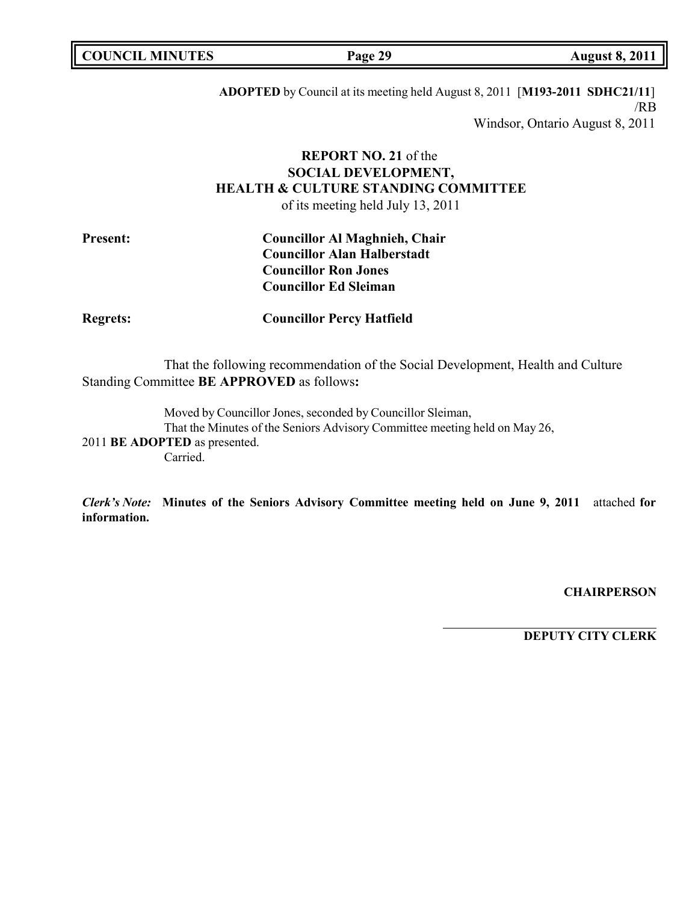|  | <b>COUNCIL MINUTES</b> |
|--|------------------------|
|--|------------------------|

**COUNCIL MINUTES Page 29 August 8, 2011**

**ADOPTED** by Council at its meeting held August 8, 2011 [**M193-2011 SDHC21/11**] /RB Windsor, Ontario August 8, 2011

# **REPORT NO. 21** of the **SOCIAL DEVELOPMENT, HEALTH & CULTURE STANDING COMMITTEE**

of its meeting held July 13, 2011

| <b>Present:</b> | <b>Councillor Al Maghnieh, Chair</b> |
|-----------------|--------------------------------------|
|                 | <b>Councillor Alan Halberstadt</b>   |
|                 | <b>Councillor Ron Jones</b>          |
|                 | <b>Councillor Ed Sleiman</b>         |

**Regrets: Councillor Percy Hatfield**

That the following recommendation of the Social Development, Health and Culture Standing Committee **BE APPROVED** as follows**:**

Moved by Councillor Jones, seconded by Councillor Sleiman, That the Minutes of the Seniors Advisory Committee meeting held on May 26, 2011 **BE ADOPTED** as presented. Carried.

*Clerk's Note:* **Minutes of the Seniors Advisory Committee meeting held on June 9, 2011** attached **for information.**

**CHAIRPERSON**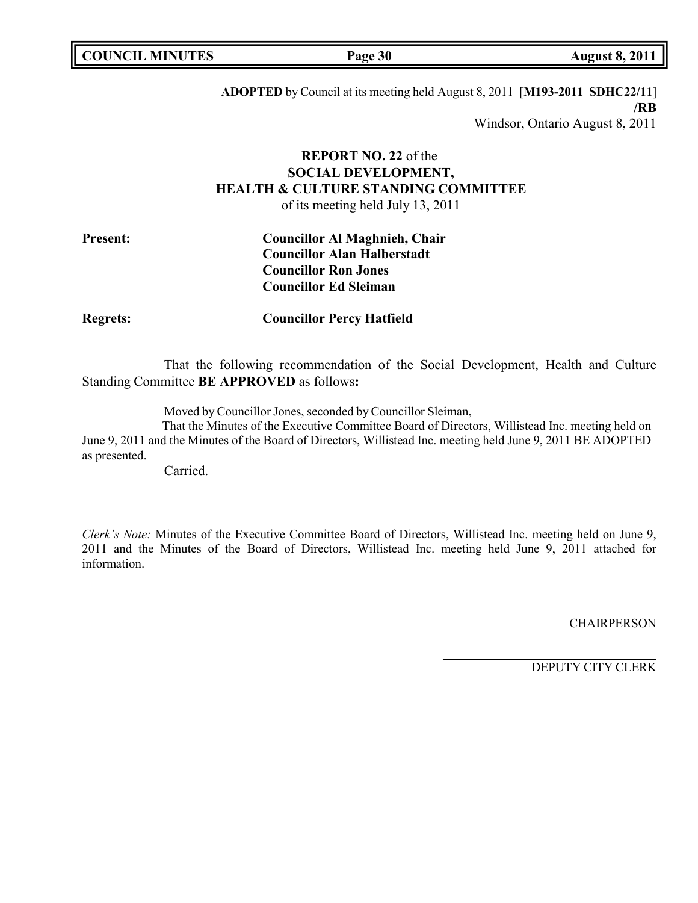**COUNCIL MINUTES Page 30 August 8, 2011**

**ADOPTED** by Council at its meeting held August 8, 2011 [**M193-2011 SDHC22/11**] **/RB** Windsor, Ontario August 8, 2011

# **REPORT NO. 22** of the **SOCIAL DEVELOPMENT, HEALTH & CULTURE STANDING COMMITTEE**

of its meeting held July 13, 2011

| <b>Present:</b> | <b>Councillor Al Maghnieh, Chair</b> |
|-----------------|--------------------------------------|
|                 | <b>Councillor Alan Halberstadt</b>   |
|                 | <b>Councillor Ron Jones</b>          |
|                 | <b>Councillor Ed Sleiman</b>         |

**Regrets: Councillor Percy Hatfield**

That the following recommendation of the Social Development, Health and Culture Standing Committee **BE APPROVED** as follows**:**

Moved by Councillor Jones, seconded by Councillor Sleiman,

That the Minutes of the Executive Committee Board of Directors, Willistead Inc. meeting held on June 9, 2011 and the Minutes of the Board of Directors, Willistead Inc. meeting held June 9, 2011 BE ADOPTED as presented.

Carried.

*Clerk's Note:* Minutes of the Executive Committee Board of Directors, Willistead Inc. meeting held on June 9, 2011 and the Minutes of the Board of Directors, Willistead Inc. meeting held June 9, 2011 attached for information.

**CHAIRPERSON**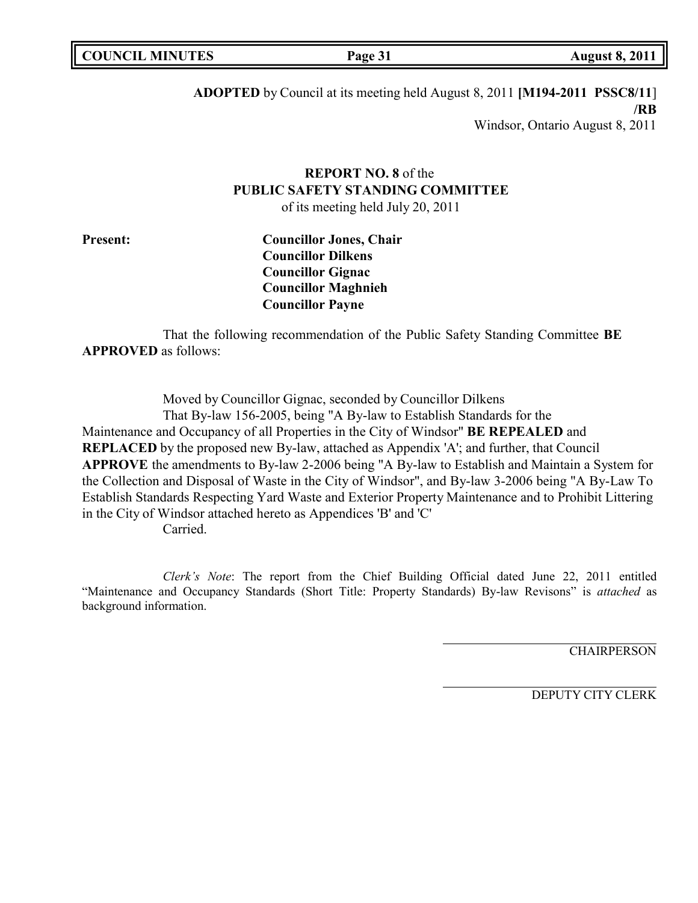**Page 31 August 8, 2011** 

**ADOPTED** by Council at its meeting held August 8, 2011 **[M194-2011 PSSC8/11**] **/RB** Windsor, Ontario August 8, 2011

# **REPORT NO. 8** of the **PUBLIC SAFETY STANDING COMMITTEE**

of its meeting held July 20, 2011

**Present: Councillor Jones, Chair Councillor Dilkens Councillor Gignac Councillor Maghnieh Councillor Payne**

That the following recommendation of the Public Safety Standing Committee **BE APPROVED** as follows:

Moved by Councillor Gignac, seconded by Councillor Dilkens That By-law 156-2005, being "A By-law to Establish Standards for the Maintenance and Occupancy of all Properties in the City of Windsor" **BE REPEALED** and **REPLACED** by the proposed new By-law, attached as Appendix 'A'; and further, that Council **APPROVE** the amendments to By-law 2-2006 being "A By-law to Establish and Maintain a System for the Collection and Disposal of Waste in the City of Windsor", and By-law 3-2006 being "A By-Law To Establish Standards Respecting Yard Waste and Exterior Property Maintenance and to Prohibit Littering in the City of Windsor attached hereto as Appendices 'B' and 'C'

Carried.

*Clerk's Note*: The report from the Chief Building Official dated June 22, 2011 entitled "Maintenance and Occupancy Standards (Short Title: Property Standards) By-law Revisons" is *attached* as background information.

**CHAIRPERSON**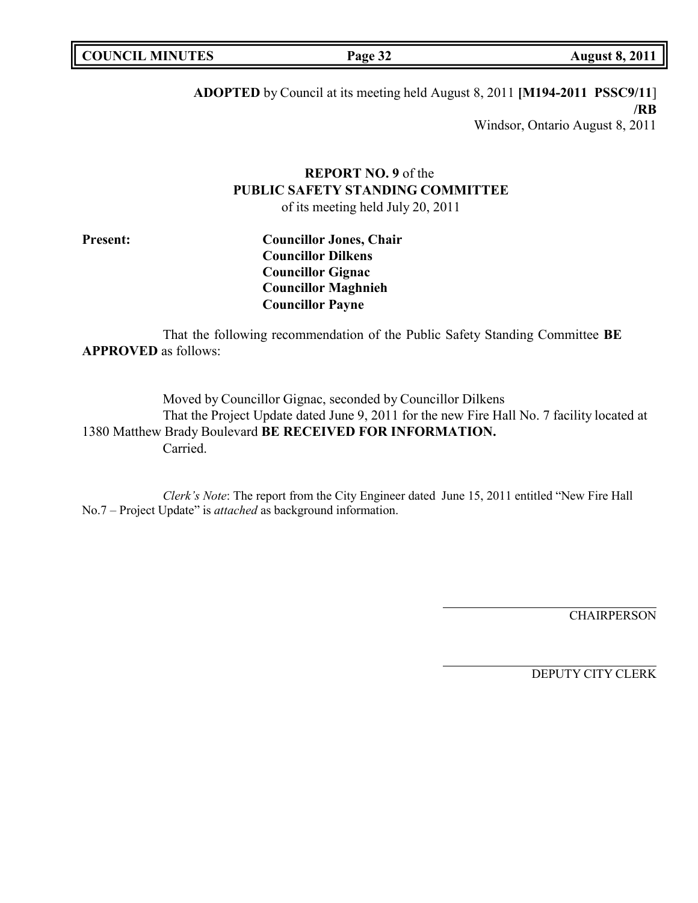| <b>COUNCIL MINUTES</b> | Page 32 | <b>August 8, 2011</b> |
|------------------------|---------|-----------------------|
|                        |         |                       |

**ADOPTED** by Council at its meeting held August 8, 2011 **[M194-2011 PSSC9/11**] **/RB**

Windsor, Ontario August 8, 2011

# **REPORT NO. 9** of the **PUBLIC SAFETY STANDING COMMITTEE**

of its meeting held July 20, 2011

**Present: Councillor Jones, Chair Councillor Dilkens Councillor Gignac Councillor Maghnieh Councillor Payne**

That the following recommendation of the Public Safety Standing Committee **BE APPROVED** as follows:

Moved by Councillor Gignac, seconded by Councillor Dilkens That the Project Update dated June 9, 2011 for the new Fire Hall No. 7 facility located at 1380 Matthew Brady Boulevard **BE RECEIVED FOR INFORMATION.** Carried.

*Clerk's Note*: The report from the City Engineer dated June 15, 2011 entitled "New Fire Hall No.7 – Project Update" is *attached* as background information.

**CHAIRPERSON**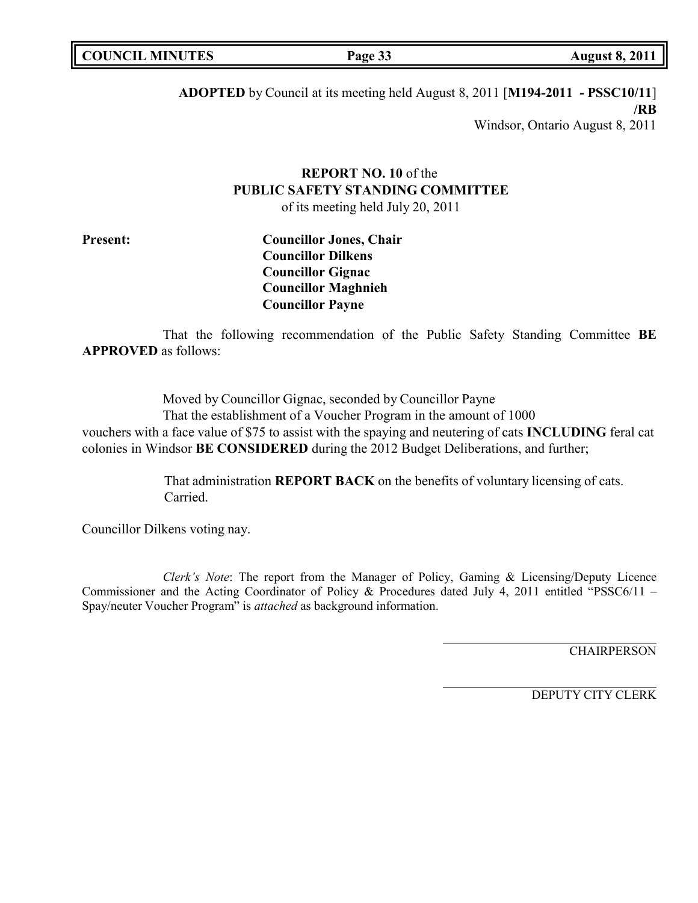**COUNCIL MINUTES Page 33 August 8, 2011**

**ADOPTED** by Council at its meeting held August 8, 2011 [**M194-2011 - PSSC10/11**] **/RB** Windsor, Ontario August 8, 2011

# **REPORT NO. 10** of the **PUBLIC SAFETY STANDING COMMITTEE**

of its meeting held July 20, 2011

**Present: Councillor Jones, Chair Councillor Dilkens Councillor Gignac Councillor Maghnieh Councillor Payne**

That the following recommendation of the Public Safety Standing Committee **BE APPROVED** as follows:

Moved by Councillor Gignac, seconded by Councillor Payne That the establishment of a Voucher Program in the amount of 1000 vouchers with a face value of \$75 to assist with the spaying and neutering of cats **INCLUDING** feral cat colonies in Windsor **BE CONSIDERED** during the 2012 Budget Deliberations, and further;

> That administration **REPORT BACK** on the benefits of voluntary licensing of cats. Carried.

Councillor Dilkens voting nay.

*Clerk's Note*: The report from the Manager of Policy, Gaming & Licensing/Deputy Licence Commissioner and the Acting Coordinator of Policy & Procedures dated July 4, 2011 entitled "PSSC6/11 – Spay/neuter Voucher Program" is *attached* as background information.

**CHAIRPERSON**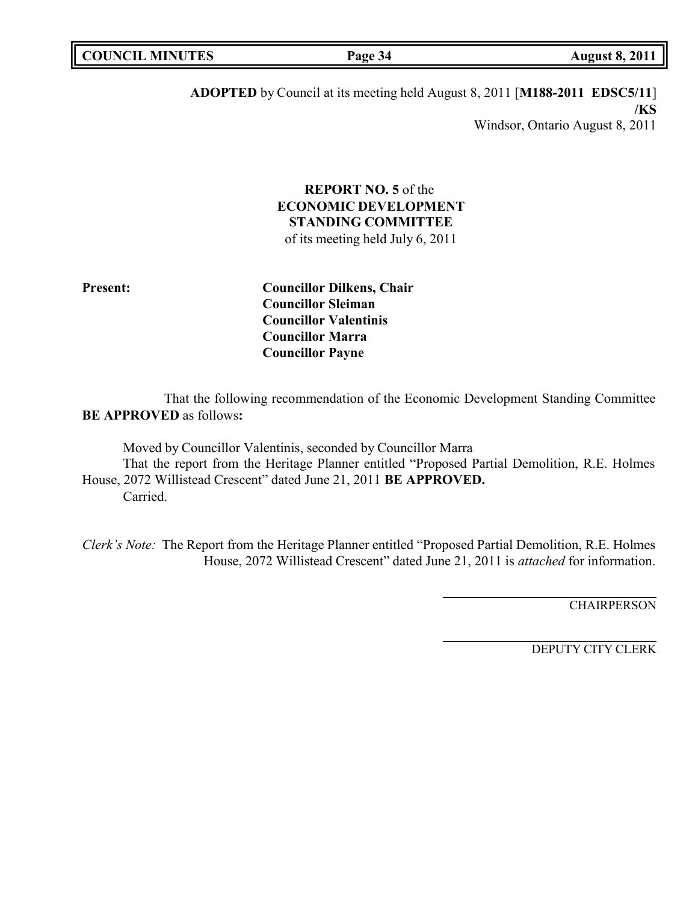**ADOPTED** by Council at its meeting held August 8, 2011 [**M188-2011 EDSC5/11**] **/KS** Windsor, Ontario August 8, 2011

# **REPORT NO. 5** of the **ECONOMIC DEVELOPMENT STANDING COMMITTEE**

of its meeting held July 6, 2011

**Present: Councillor Dilkens, Chair Councillor Sleiman Councillor Valentinis Councillor Marra Councillor Payne**

That the following recommendation of the Economic Development Standing Committee **BE APPROVED** as follows**:**

Moved by Councillor Valentinis, seconded by Councillor Marra That the report from the Heritage Planner entitled "Proposed Partial Demolition, R.E. Holmes House, 2072 Willistead Crescent" dated June 21, 2011 **BE APPROVED.** Carried.

*Clerk's Note:* The Report from the Heritage Planner entitled "Proposed Partial Demolition, R.E. Holmes House, 2072 Willistead Crescent" dated June 21, 2011 is *attached* for information.

**CHAIRPERSON**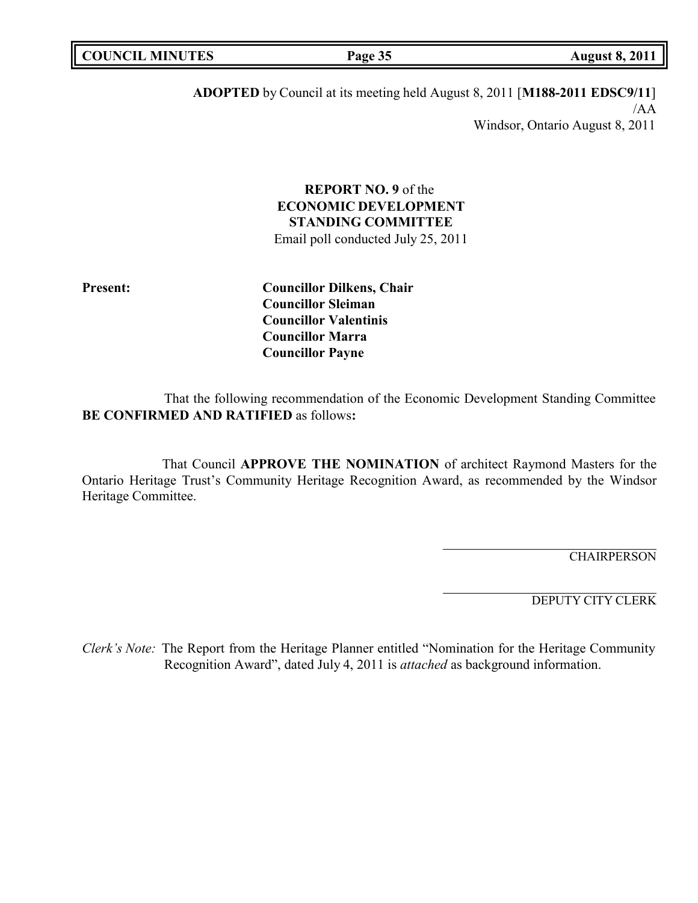| <b>MINUTES</b><br>I COUNC.<br>TIL. | Page 35 | 201<br>August 8. |
|------------------------------------|---------|------------------|
|                                    |         |                  |

**ADOPTED** by Council at its meeting held August 8, 2011 [**M188-2011 EDSC9/11**] /AA Windsor, Ontario August 8, 2011

# **REPORT NO. 9** of the **ECONOMIC DEVELOPMENT STANDING COMMITTEE**

Email poll conducted July 25, 2011

**Present: Councillor Dilkens, Chair Councillor Sleiman Councillor Valentinis Councillor Marra Councillor Payne**

That the following recommendation of the Economic Development Standing Committee **BE CONFIRMED AND RATIFIED** as follows**:**

That Council **APPROVE THE NOMINATION** of architect Raymond Masters for the Ontario Heritage Trust's Community Heritage Recognition Award, as recommended by the Windsor Heritage Committee.

**CHAIRPERSON** 

DEPUTY CITY CLERK

*Clerk's Note:* The Report from the Heritage Planner entitled "Nomination for the Heritage Community Recognition Award", dated July 4, 2011 is *attached* as background information.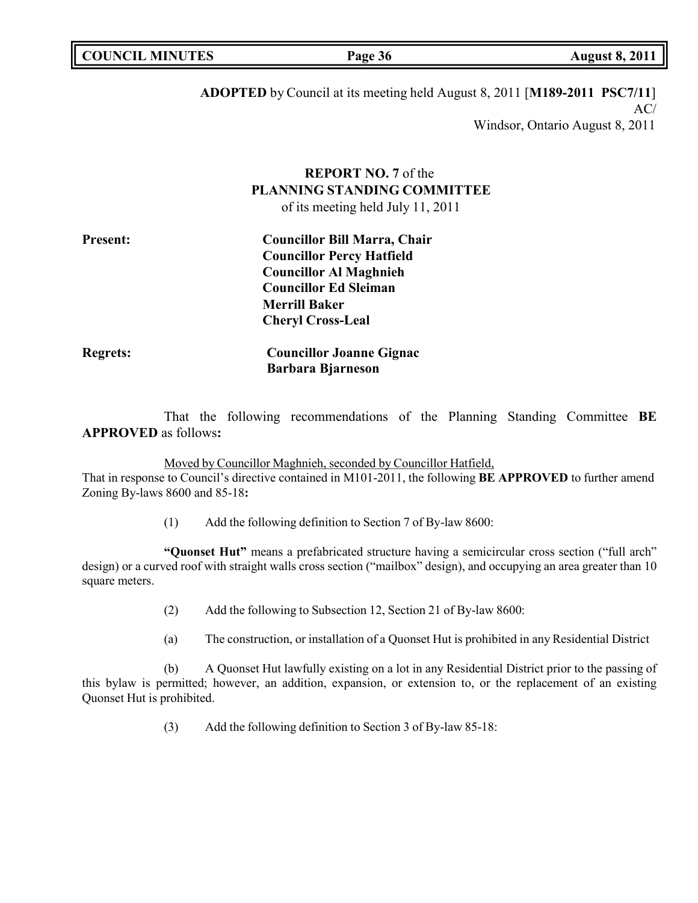| <b>COUNCIL MINUTES</b> | Page 36 | <b>August 8, 2011</b> |
|------------------------|---------|-----------------------|
|                        |         |                       |

**ADOPTED** by Council at its meeting held August 8, 2011 [**M189-2011 PSC7/11**]  $AC/$ 

Windsor, Ontario August 8, 2011

# **REPORT NO. 7** of the **PLANNING STANDING COMMITTEE**

of its meeting held July 11, 2011

**Regrets: Councillor Joanne Gignac**

That the following recommendations of the Planning Standing Committee **BE APPROVED** as follows**:**

#### Moved by Councillor Maghnieh, seconded by Councillor Hatfield,

**Barbara Bjarneson**

That in response to Council's directive contained in M101-2011, the following **BE APPROVED** to further amend Zoning By-laws 8600 and 85-18**:**

(1) Add the following definition to Section 7 of By-law 8600:

**"Quonset Hut"** means a prefabricated structure having a semicircular cross section ("full arch" design) or a curved roof with straight walls cross section ("mailbox" design), and occupying an area greater than 10 square meters.

- (2) Add the following to Subsection 12, Section 21 of By-law 8600:
- (a) The construction, or installation of a Quonset Hut is prohibited in any Residential District

(b) A Quonset Hut lawfully existing on a lot in any Residential District prior to the passing of this bylaw is permitted; however, an addition, expansion, or extension to, or the replacement of an existing Quonset Hut is prohibited.

(3) Add the following definition to Section 3 of By-law 85-18: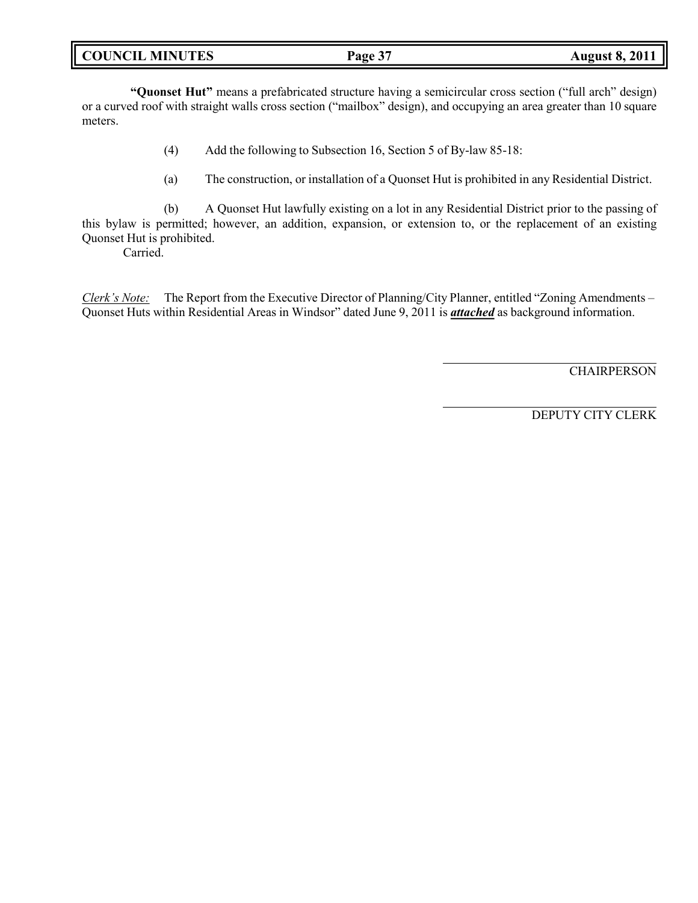|  | <b>COUNCIL MINUTES</b> |
|--|------------------------|
|--|------------------------|

**"Quonset Hut"** means a prefabricated structure having a semicircular cross section ("full arch" design) or a curved roof with straight walls cross section ("mailbox" design), and occupying an area greater than 10 square meters.

- (4) Add the following to Subsection 16, Section 5 of By-law 85-18:
- (a) The construction, or installation of a Quonset Hut is prohibited in any Residential District.

(b) A Quonset Hut lawfully existing on a lot in any Residential District prior to the passing of this bylaw is permitted; however, an addition, expansion, or extension to, or the replacement of an existing Quonset Hut is prohibited.

Carried.

*Clerk's Note:* The Report from the Executive Director of Planning/City Planner, entitled "Zoning Amendments – Quonset Huts within Residential Areas in Windsor" dated June 9, 2011 is *attached* as background information.

**CHAIRPERSON**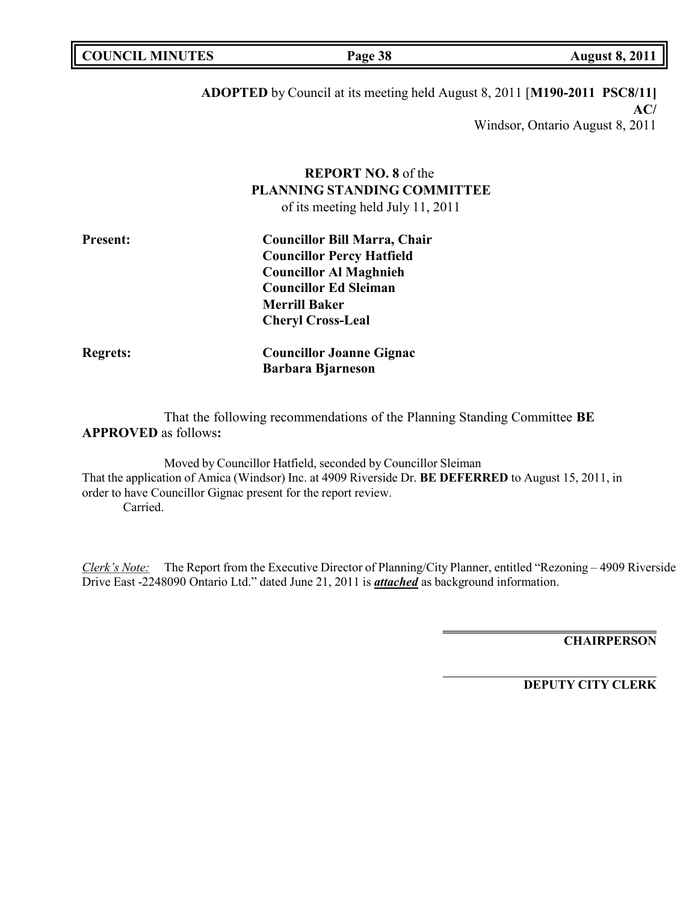| COUNCIL MINUTES | Page 38 | <b>August 8, 2011</b> |
|-----------------|---------|-----------------------|
|                 |         |                       |

# **ADOPTED** by Council at its meeting held August 8, 2011 [**M190-2011 PSC8/11] AC/**

Windsor, Ontario August 8, 2011

# **REPORT NO. 8** of the **PLANNING STANDING COMMITTEE**

of its meeting held July 11, 2011

| <b>Present:</b> | <b>Councillor Bill Marra, Chair</b> |  |
|-----------------|-------------------------------------|--|
|                 | <b>Councillor Percy Hatfield</b>    |  |
|                 | <b>Councillor Al Maghnieh</b>       |  |
|                 | <b>Councillor Ed Sleiman</b>        |  |
|                 | <b>Merrill Baker</b>                |  |
|                 | <b>Cheryl Cross-Leal</b>            |  |
| <b>Regrets:</b> | <b>Councillor Joanne Gignac</b>     |  |
|                 | <b>Barbara Bjarneson</b>            |  |

That the following recommendations of the Planning Standing Committee **BE APPROVED** as follows**:**

Moved by Councillor Hatfield, seconded by Councillor Sleiman That the application of Amica (Windsor) Inc. at 4909 Riverside Dr. **BE DEFERRED** to August 15, 2011, in order to have Councillor Gignac present for the report review. Carried.

*Clerk's Note:* The Report from the Executive Director of Planning/City Planner, entitled "Rezoning – 4909 Riverside Drive East -2248090 Ontario Ltd." dated June 21, 2011 is *attached* as background information.

**CHAIRPERSON**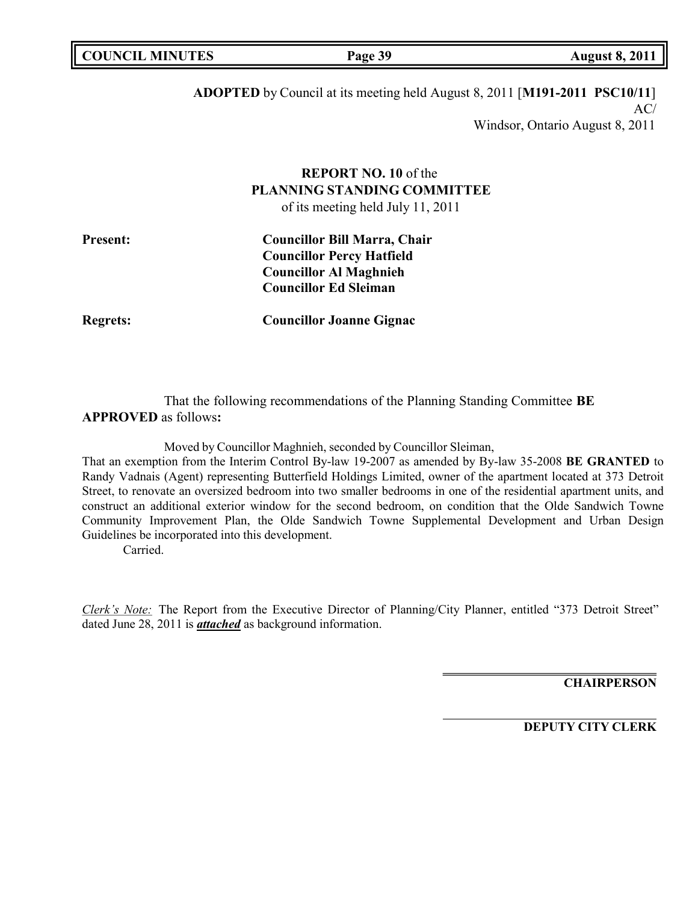| <b>COUNCIL MINUTES</b> | Page 39 | <b>August 8, 2011</b> |
|------------------------|---------|-----------------------|
|                        |         |                       |

**ADOPTED** by Council at its meeting held August 8, 2011 [**M191-2011 PSC10/11**]  $AC/$ Windsor, Ontario August 8, 2011

# **REPORT NO. 10** of the **PLANNING STANDING COMMITTEE**

of its meeting held July 11, 2011

| <b>Present:</b> | <b>Councillor Bill Marra, Chair</b> |
|-----------------|-------------------------------------|
|                 | <b>Councillor Percy Hatfield</b>    |
|                 | <b>Councillor Al Maghnieh</b>       |
|                 | <b>Councillor Ed Sleiman</b>        |
|                 |                                     |

**Regrets: Councillor Joanne Gignac**

That the following recommendations of the Planning Standing Committee **BE APPROVED** as follows**:**

Moved by Councillor Maghnieh, seconded by Councillor Sleiman,

That an exemption from the Interim Control By-law 19-2007 as amended by By-law 35-2008 **BE GRANTED** to Randy Vadnais (Agent) representing Butterfield Holdings Limited, owner of the apartment located at 373 Detroit Street, to renovate an oversized bedroom into two smaller bedrooms in one of the residential apartment units, and construct an additional exterior window for the second bedroom, on condition that the Olde Sandwich Towne Community Improvement Plan, the Olde Sandwich Towne Supplemental Development and Urban Design Guidelines be incorporated into this development.

Carried.

*Clerk's Note:* The Report from the Executive Director of Planning/City Planner, entitled "373 Detroit Street" dated June 28, 2011 is *attached* as background information.

**CHAIRPERSON**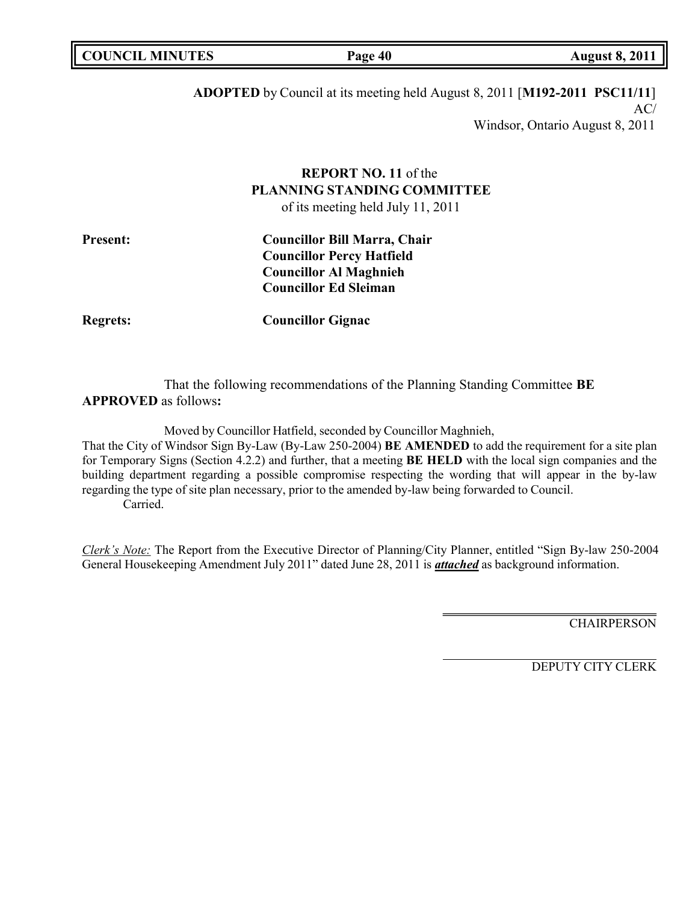| <b>COUNCIL MINUTES</b> | Page 40 | <b>August 8, 2011</b> |
|------------------------|---------|-----------------------|
|                        |         |                       |

# **ADOPTED** by Council at its meeting held August 8, 2011 [**M192-2011 PSC11/11**] AC/ Windsor, Ontario August 8, 2011

# **REPORT NO. 11** of the **PLANNING STANDING COMMITTEE**

of its meeting held July 11, 2011

| <b>Present:</b> | <b>Councillor Bill Marra, Chair</b> |
|-----------------|-------------------------------------|
|                 | <b>Councillor Percy Hatfield</b>    |
|                 | <b>Councillor Al Maghnieh</b>       |
|                 | <b>Councillor Ed Sleiman</b>        |
|                 |                                     |

**Regrets: Councillor Gignac**

That the following recommendations of the Planning Standing Committee **BE APPROVED** as follows**:**

Moved by Councillor Hatfield, seconded by Councillor Maghnieh,

That the City of Windsor Sign By-Law (By-Law 250-2004) **BE AMENDED** to add the requirement for a site plan for Temporary Signs (Section 4.2.2) and further, that a meeting **BE HELD** with the local sign companies and the building department regarding a possible compromise respecting the wording that will appear in the by-law regarding the type of site plan necessary, prior to the amended by-law being forwarded to Council. Carried.

*Clerk's Note:* The Report from the Executive Director of Planning/City Planner, entitled "Sign By-law 250-2004 General Housekeeping Amendment July 2011" dated June 28, 2011 is *attached* as background information.

**CHAIRPERSON**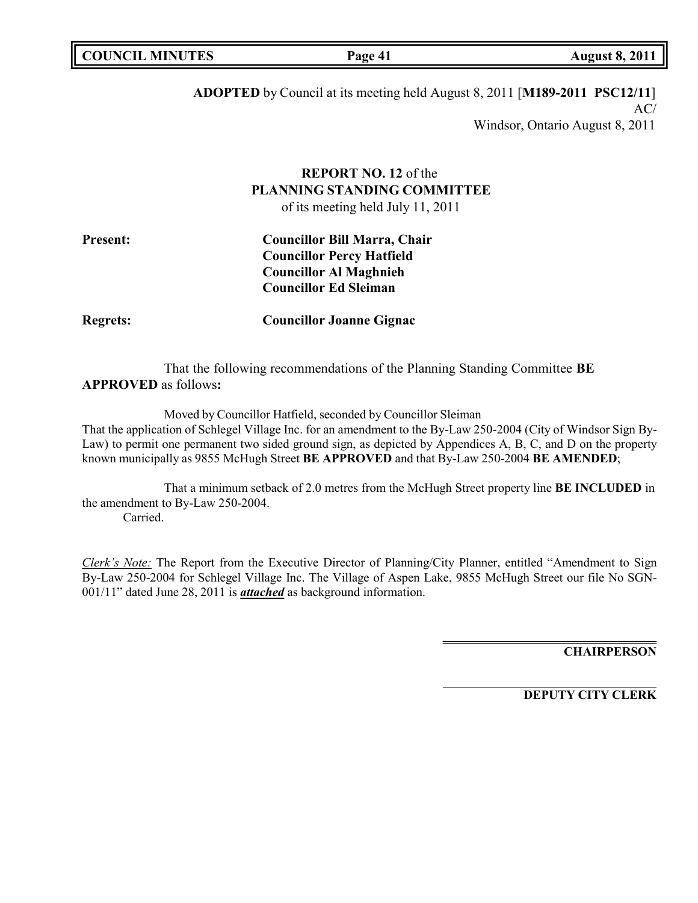| <b>COUNCIL MINUTES</b> | Page 41 | <b>August 8, 2011</b> |
|------------------------|---------|-----------------------|
|                        |         |                       |

# **ADOPTED** by Council at its meeting held August 8, 2011 [**M189-2011 PSC12/11**] AC/ Windsor, Ontario August 8, 2011

# **REPORT NO. 12** of the **PLANNING STANDING COMMITTEE**

of its meeting held July 11, 2011

| <b>Present:</b> | <b>Councillor Bill Marra, Chair</b> |
|-----------------|-------------------------------------|
|                 | <b>Councillor Percy Hatfield</b>    |
|                 | <b>Councillor Al Maghnieh</b>       |
|                 | <b>Councillor Ed Sleiman</b>        |
|                 |                                     |

**Regrets: Councillor Joanne Gignac**

That the following recommendations of the Planning Standing Committee **BE APPROVED** as follows**:**

Moved by Councillor Hatfield, seconded by Councillor Sleiman

That the application of Schlegel Village Inc. for an amendment to the By-Law 250-2004 (City of Windsor Sign By-Law) to permit one permanent two sided ground sign, as depicted by Appendices A, B, C, and D on the property known municipally as 9855 McHugh Street **BE APPROVED** and that By-Law 250-2004 **BE AMENDED**;

That a minimum setback of 2.0 metres from the McHugh Street property line **BE INCLUDED** in the amendment to By-Law 250-2004. Carried.

*Clerk's Note:* The Report from the Executive Director of Planning/City Planner, entitled "Amendment to Sign By-Law 250-2004 for Schlegel Village Inc. The Village of Aspen Lake, 9855 McHugh Street our file No SGN-001/11" dated June 28, 2011 is *attached* as background information.

**CHAIRPERSON**